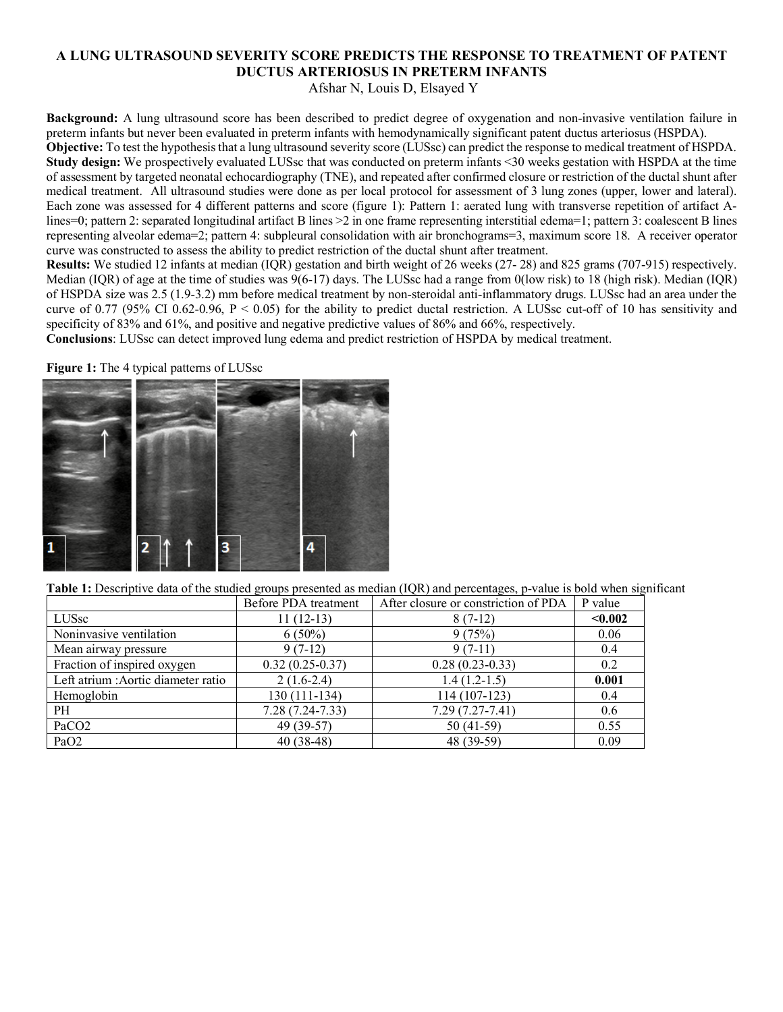# **A LUNG ULTRASOUND SEVERITY SCORE PREDICTS THE RESPONSE TO TREATMENT OF PATENT DUCTUS ARTERIOSUS IN PRETERM INFANTS**

Afshar N, Louis D, Elsayed Y

**Background:** A lung ultrasound score has been described to predict degree of oxygenation and non-invasive ventilation failure in preterm infants but never been evaluated in preterm infants with hemodynamically significant patent ductus arteriosus (HSPDA). **Objective:** To test the hypothesis that a lung ultrasound severity score (LUSsc) can predict the response to medical treatment of HSPDA. **Study design:** We prospectively evaluated LUSsc that was conducted on preterm infants <30 weeks gestation with HSPDA at the time of assessment by targeted neonatal echocardiography (TNE), and repeated after confirmed closure or restriction of the ductal shunt after medical treatment. All ultrasound studies were done as per local protocol for assessment of 3 lung zones (upper, lower and lateral). Each zone was assessed for 4 different patterns and score (figure 1): Pattern 1: aerated lung with transverse repetition of artifact Alines=0; pattern 2: separated longitudinal artifact B lines >2 in one frame representing interstitial edema=1; pattern 3: coalescent B lines representing alveolar edema=2; pattern 4: subpleural consolidation with air bronchograms=3, maximum score 18. A receiver operator curve was constructed to assess the ability to predict restriction of the ductal shunt after treatment.

**Results:** We studied 12 infants at median (IQR) gestation and birth weight of 26 weeks (27- 28) and 825 grams (707-915) respectively. Median (IQR) of age at the time of studies was 9(6-17) days. The LUSsc had a range from 0(low risk) to 18 (high risk). Median (IQR) of HSPDA size was 2.5 (1.9-3.2) mm before medical treatment by non-steroidal anti-inflammatory drugs. LUSsc had an area under the curve of 0.77 (95% CI 0.62-0.96,  $P < 0.05$ ) for the ability to predict ductal restriction. A LUSsc cut-off of 10 has sensitivity and specificity of 83% and 61%, and positive and negative predictive values of 86% and 66%, respectively.

**Conclusions**: LUSsc can detect improved lung edema and predict restriction of HSPDA by medical treatment.

**Figure 1:** The 4 typical patterns of LUSsc



**Table 1:** Descriptive data of the studied groups presented as median (IQR) and percentages, p-value is bold when significant

|                                     | Before PDA treatment | After closure or constriction of PDA | P value |
|-------------------------------------|----------------------|--------------------------------------|---------|
| LUSsc                               | $11(12-13)$          | $8(7-12)$                            | < 0.002 |
| Noninvasive ventilation             | $6(50\%)$            | 9(75%)                               | 0.06    |
| Mean airway pressure                | $9(7-12)$            | $9(7-11)$                            | 0.4     |
| Fraction of inspired oxygen         | $0.32(0.25-0.37)$    | $0.28(0.23-0.33)$                    | 0.2     |
| Left atrium : Aortic diameter ratio | $2(1.6-2.4)$         | $1.4(1.2-1.5)$                       | 0.001   |
| Hemoglobin                          | 130 (111-134)        | 114 (107-123)                        | 0.4     |
| PH                                  | $7.28(7.24 - 7.33)$  | $7.29(7.27-7.41)$                    | 0.6     |
| PaCO <sub>2</sub>                   | 49 (39-57)           | $50(41-59)$                          | 0.55    |
| PaO <sub>2</sub>                    | $40(38-48)$          | 48 (39-59)                           | 0.09    |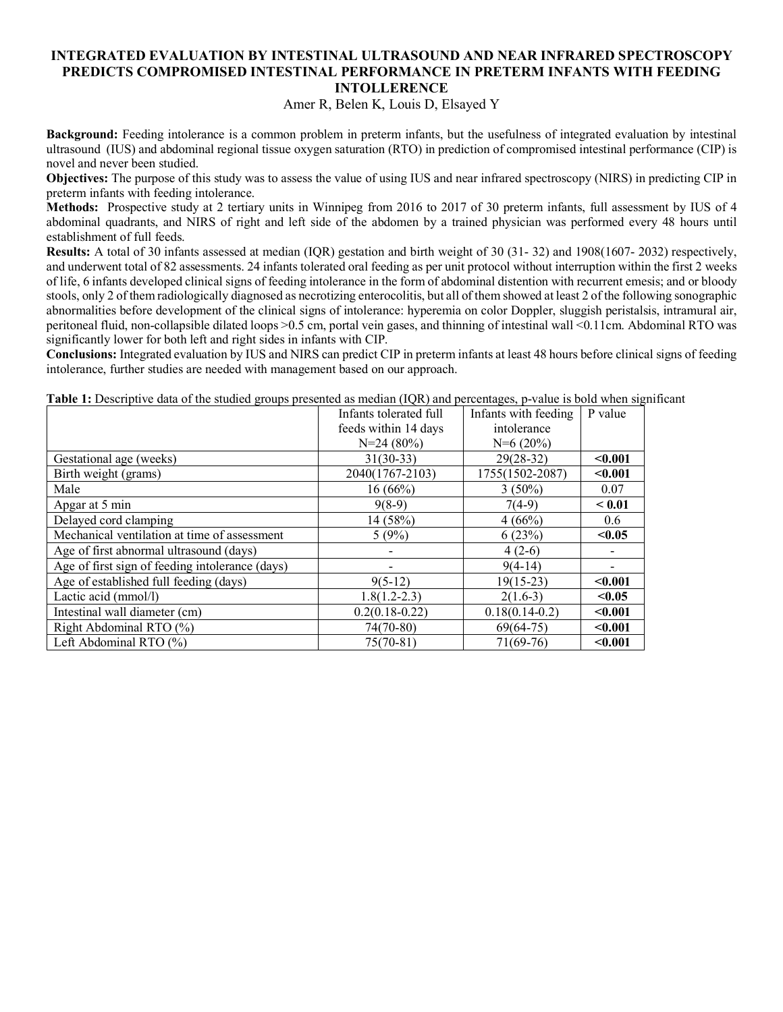### **INTEGRATED EVALUATION BY INTESTINAL ULTRASOUND AND NEAR INFRARED SPECTROSCOPY PREDICTS COMPROMISED INTESTINAL PERFORMANCE IN PRETERM INFANTS WITH FEEDING INTOLLERENCE**

Amer R, Belen K, Louis D, Elsayed Y

**Background:** Feeding intolerance is a common problem in preterm infants, but the usefulness of integrated evaluation by intestinal ultrasound (IUS) and abdominal regional tissue oxygen saturation (RTO) in prediction of compromised intestinal performance (CIP) is novel and never been studied.

**Objectives:** The purpose of this study was to assess the value of using IUS and near infrared spectroscopy (NIRS) in predicting CIP in preterm infants with feeding intolerance.

**Methods:** Prospective study at 2 tertiary units in Winnipeg from 2016 to 2017 of 30 preterm infants, full assessment by IUS of 4 abdominal quadrants, and NIRS of right and left side of the abdomen by a trained physician was performed every 48 hours until establishment of full feeds.

**Results:** A total of 30 infants assessed at median (IQR) gestation and birth weight of 30 (31- 32) and 1908(1607- 2032) respectively, and underwent total of 82 assessments. 24 infants tolerated oral feeding as per unit protocol without interruption within the first 2 weeks of life, 6 infants developed clinical signs of feeding intolerance in the form of abdominal distention with recurrent emesis; and or bloody stools, only 2 of them radiologically diagnosed as necrotizing enterocolitis, but all of them showed at least 2 of the following sonographic abnormalities before development of the clinical signs of intolerance: hyperemia on color Doppler, sluggish peristalsis, intramural air, peritoneal fluid, non-collapsible dilated loops >0.5 cm, portal vein gases, and thinning of intestinal wall <0.11cm. Abdominal RTO was significantly lower for both left and right sides in infants with CIP.

**Conclusions:** Integrated evaluation by IUS and NIRS can predict CIP in preterm infants at least 48 hours before clinical signs of feeding intolerance, further studies are needed with management based on our approach.

|                                                 | Infants tolerated full | Infants with feeding | P value |
|-------------------------------------------------|------------------------|----------------------|---------|
|                                                 | feeds within 14 days   | intolerance          |         |
|                                                 | $N=24(80\%)$           | $N=6(20\%)$          |         |
| Gestational age (weeks)                         | $31(30-33)$            | $29(28-32)$          | $0.001$ |
| Birth weight (grams)                            | 2040(1767-2103)        | 1755(1502-2087)      | $0.001$ |
| Male                                            | 16(66%)                | $3(50\%)$            | 0.07    |
| Apgar at 5 min                                  | $9(8-9)$               | $7(4-9)$             | < 0.01  |
| Delayed cord clamping                           | 14 (58%)               | 4(66%)               | 0.6     |
| Mechanical ventilation at time of assessment    | 5(9%)                  | 6(23%)               | < 0.05  |
| Age of first abnormal ultrasound (days)         |                        | $4(2-6)$             |         |
| Age of first sign of feeding intolerance (days) |                        | $9(4-14)$            |         |
| Age of established full feeding (days)          | $9(5-12)$              | $19(15-23)$          | $0.001$ |
| Lactic acid (mmol/l)                            | $1.8(1.2 - 2.3)$       | $2(1.6-3)$           | < 0.05  |
| Intestinal wall diameter (cm)                   | $0.2(0.18 - 0.22)$     | $0.18(0.14-0.2)$     | $0.001$ |
| Right Abdominal RTO (%)                         | $74(70-80)$            | $69(64-75)$          | $0.001$ |
| Left Abdominal RTO (%)                          | $75(70-81)$            | $71(69-76)$          | $0.001$ |

**Table 1:** Descriptive data of the studied groups presented as median (IQR) and percentages, p-value is bold when significant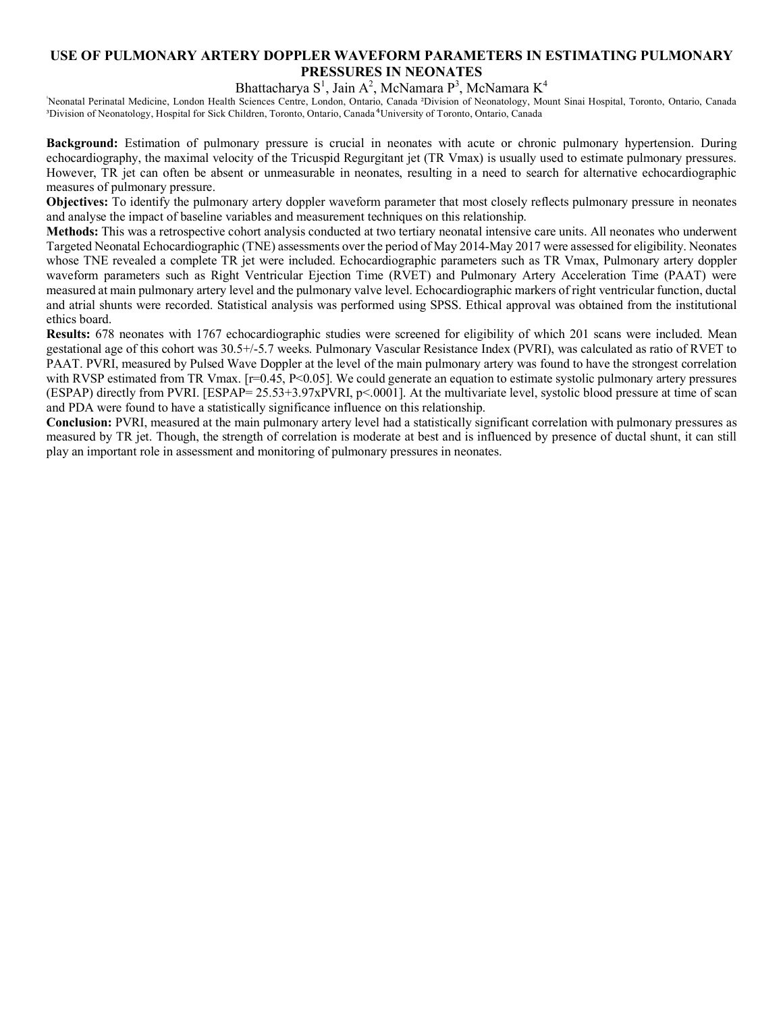## **USE OF PULMONARY ARTERY DOPPLER WAVEFORM PARAMETERS IN ESTIMATING PULMONARY PRESSURES IN NEONATES**

Bhattacharya  $S^1$ , Jain A<sup>2</sup>, McNamara P<sup>3</sup>, McNamara K<sup>4</sup>

Neonatal Perinatal Medicine, London Health Sciences Centre, London, Ontario, Canada <sup>2</sup>Division of Neonatology, Mount Sinai Hospital, Toronto, Ontario, Canada <sup>3</sup>Division of Neonatology, Hospital for Sick Children, Toronto, Ontario, Canada <sup>4</sup>University of Toronto, Ontario, Canada

**Background:** Estimation of pulmonary pressure is crucial in neonates with acute or chronic pulmonary hypertension. During echocardiography, the maximal velocity of the Tricuspid Regurgitant jet (TR Vmax) is usually used to estimate pulmonary pressures. However, TR jet can often be absent or unmeasurable in neonates, resulting in a need to search for alternative echocardiographic measures of pulmonary pressure.

**Objectives:** To identify the pulmonary artery doppler waveform parameter that most closely reflects pulmonary pressure in neonates and analyse the impact of baseline variables and measurement techniques on this relationship.

**Methods:** This was a retrospective cohort analysis conducted at two tertiary neonatal intensive care units. All neonates who underwent Targeted Neonatal Echocardiographic (TNE) assessments over the period of May 2014-May 2017 were assessed for eligibility. Neonates whose TNE revealed a complete TR jet were included. Echocardiographic parameters such as TR Vmax, Pulmonary artery doppler waveform parameters such as Right Ventricular Ejection Time (RVET) and Pulmonary Artery Acceleration Time (PAAT) were measured at main pulmonary artery level and the pulmonary valve level. Echocardiographic markers of right ventricular function, ductal and atrial shunts were recorded. Statistical analysis was performed using SPSS. Ethical approval was obtained from the institutional ethics board.

**Results:** 678 neonates with 1767 echocardiographic studies were screened for eligibility of which 201 scans were included. Mean gestational age of this cohort was 30.5+/-5.7 weeks. Pulmonary Vascular Resistance Index (PVRI), was calculated as ratio of RVET to PAAT. PVRI, measured by Pulsed Wave Doppler at the level of the main pulmonary artery was found to have the strongest correlation with RVSP estimated from TR Vmax. [r=0.45, P<0.05]. We could generate an equation to estimate systolic pulmonary artery pressures (ESPAP) directly from PVRI. [ESPAP= 25.53+3.97xPVRI, p<.0001]. At the multivariate level, systolic blood pressure at time of scan and PDA were found to have a statistically significance influence on this relationship.

**Conclusion:** PVRI, measured at the main pulmonary artery level had a statistically significant correlation with pulmonary pressures as measured by TR jet. Though, the strength of correlation is moderate at best and is influenced by presence of ductal shunt, it can still play an important role in assessment and monitoring of pulmonary pressures in neonates.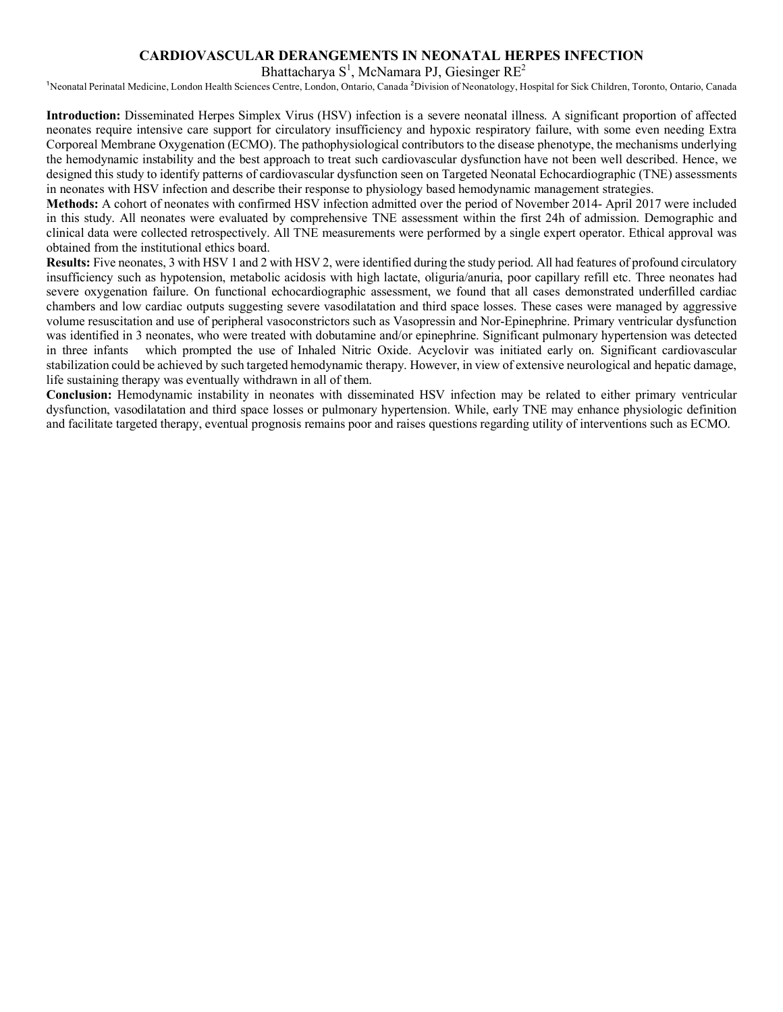#### **CARDIOVASCULAR DERANGEMENTS IN NEONATAL HERPES INFECTION**

Bhattacharya  $S^1$ , McNamara PJ, Giesinger RE<sup>2</sup>

<sup>1</sup>Neonatal Perinatal Medicine, London Health Sciences Centre, London, Ontario, Canada <sup>2</sup>Division of Neonatology, Hospital for Sick Children, Toronto, Ontario, Canada

**Introduction:** Disseminated Herpes Simplex Virus (HSV) infection is a severe neonatal illness. A significant proportion of affected neonates require intensive care support for circulatory insufficiency and hypoxic respiratory failure, with some even needing Extra Corporeal Membrane Oxygenation (ECMO). The pathophysiological contributors to the disease phenotype, the mechanisms underlying the hemodynamic instability and the best approach to treat such cardiovascular dysfunction have not been well described. Hence, we designed this study to identify patterns of cardiovascular dysfunction seen on Targeted Neonatal Echocardiographic (TNE) assessments in neonates with HSV infection and describe their response to physiology based hemodynamic management strategies.

**Methods:** A cohort of neonates with confirmed HSV infection admitted over the period of November 2014- April 2017 were included in this study. All neonates were evaluated by comprehensive TNE assessment within the first 24h of admission. Demographic and clinical data were collected retrospectively. All TNE measurements were performed by a single expert operator. Ethical approval was obtained from the institutional ethics board.

**Results:** Five neonates, 3 with HSV 1 and 2 with HSV 2, were identified during the study period. All had features of profound circulatory insufficiency such as hypotension, metabolic acidosis with high lactate, oliguria/anuria, poor capillary refill etc. Three neonates had severe oxygenation failure. On functional echocardiographic assessment, we found that all cases demonstrated underfilled cardiac chambers and low cardiac outputs suggesting severe vasodilatation and third space losses. These cases were managed by aggressive volume resuscitation and use of peripheral vasoconstrictors such as Vasopressin and Nor-Epinephrine. Primary ventricular dysfunction was identified in 3 neonates, who were treated with dobutamine and/or epinephrine. Significant pulmonary hypertension was detected in three infants which prompted the use of Inhaled Nitric Oxide. Acyclovir was initiated early on. Significant cardiovascular stabilization could be achieved by such targeted hemodynamic therapy. However, in view of extensive neurological and hepatic damage, life sustaining therapy was eventually withdrawn in all of them.

**Conclusion:** Hemodynamic instability in neonates with disseminated HSV infection may be related to either primary ventricular dysfunction, vasodilatation and third space losses or pulmonary hypertension. While, early TNE may enhance physiologic definition and facilitate targeted therapy, eventual prognosis remains poor and raises questions regarding utility of interventions such as ECMO.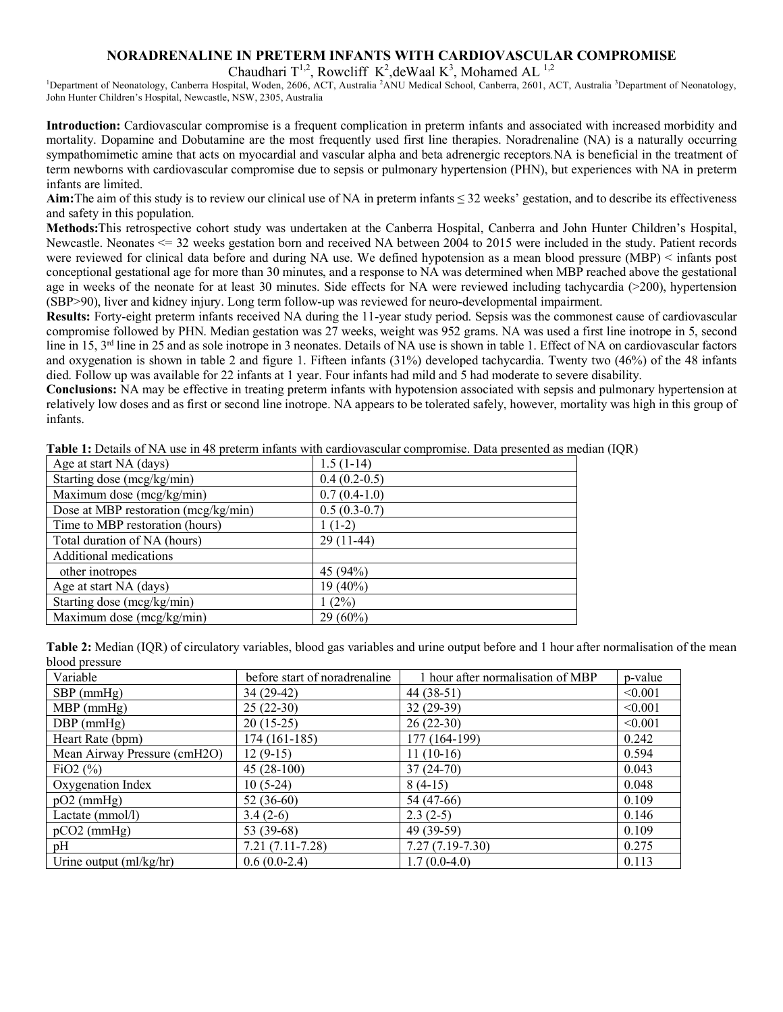## **NORADRENALINE IN PRETERM INFANTS WITH CARDIOVASCULAR COMPROMISE**

<sup>1</sup>Department of Neonatology, Canberra Hospital, Woden, 2606, ACT, Australia <sup>2</sup>ANU Medical School, Canberra, 2601, ACT, Australia <sup>3</sup>Department of Neonatology, John Hunter Children's Hospital, Newcastle, NSW, 2305, Australia

**Introduction:** Cardiovascular compromise is a frequent complication in preterm infants and associated with increased morbidity and mortality. Dopamine and Dobutamine are the most frequently used first line therapies. Noradrenaline (NA) is a naturally occurring sympathomimetic amine that acts on myocardial and vascular alpha and beta adrenergic receptors*.*NA is beneficial in the treatment of term newborns with cardiovascular compromise due to sepsis or pulmonary hypertension (PHN), but experiences with NA in preterm infants are limited.

**Aim:**The aim of this study is to review our clinical use of NA in preterm infants ≤ 32 weeks' gestation, and to describe its effectiveness and safety in this population.

**Methods:**This retrospective cohort study was undertaken at the Canberra Hospital, Canberra and John Hunter Children's Hospital, Newcastle. Neonates <= 32 weeks gestation born and received NA between 2004 to 2015 were included in the study. Patient records were reviewed for clinical data before and during NA use. We defined hypotension as a mean blood pressure (MBP) < infants post conceptional gestational age for more than 30 minutes, and a response to NA was determined when MBP reached above the gestational age in weeks of the neonate for at least 30 minutes. Side effects for NA were reviewed including tachycardia (>200), hypertension (SBP>90), liver and kidney injury. Long term follow-up was reviewed for neuro-developmental impairment.

**Results:** Forty-eight preterm infants received NA during the 11-year study period. Sepsis was the commonest cause of cardiovascular compromise followed by PHN. Median gestation was 27 weeks, weight was 952 grams. NA was used a first line inotrope in 5, second line in 15, 3<sup>rd</sup> line in 25 and as sole inotrope in 3 neonates. Details of NA use is shown in table 1. Effect of NA on cardiovascular factors and oxygenation is shown in table 2 and figure 1. Fifteen infants (31%) developed tachycardia. Twenty two (46%) of the 48 infants died. Follow up was available for 22 infants at 1 year. Four infants had mild and 5 had moderate to severe disability.

**Conclusions:** NA may be effective in treating preterm infants with hypotension associated with sepsis and pulmonary hypertension at relatively low doses and as first or second line inotrope. NA appears to be tolerated safely, however, mortality was high in this group of infants.

| Age at start NA (days)                 | $1.5(1-14)$    |
|----------------------------------------|----------------|
| Starting dose (mcg/kg/min)             | $0.4(0.2-0.5)$ |
| Maximum dose (mcg/kg/min)              | $0.7(0.4-1.0)$ |
| Dose at MBP restoration $(mcg/kg/min)$ | $0.5(0.3-0.7)$ |
| Time to MBP restoration (hours)        | $1(1-2)$       |
| Total duration of NA (hours)           | $29(11-44)$    |
| Additional medications                 |                |
| other inotropes                        | 45 (94%)       |
| Age at start NA (days)                 | 19 (40%)       |
| Starting dose (mcg/kg/min)             | (2%)           |
| Maximum dose (mcg/kg/min)              | $29(60\%)$     |

**Table 1:** Details of NA use in 48 preterm infants with cardiovascular compromise. Data presented as median (IQR)

**Table 2:** Median (IQR) of circulatory variables, blood gas variables and urine output before and 1 hour after normalisation of the mean blood pressure

| Variable                     | before start of noradrenaline | 1 hour after normalisation of MBP | p-value |
|------------------------------|-------------------------------|-----------------------------------|---------|
| $SBP$ (mmHg)                 | 34 (29-42)                    | $44(38-51)$                       | < 0.001 |
| $MBP$ (mmHg)                 | $25(22-30)$                   | $32(29-39)$                       | < 0.001 |
| $DBP$ (mmHg)                 | $20(15-25)$                   | $26(22-30)$                       | < 0.001 |
| Heart Rate (bpm)             | $174(161-185)$                | 177 (164-199)                     | 0.242   |
| Mean Airway Pressure (cmH2O) | $12(9-15)$                    | $11(10-16)$                       | 0.594   |
| FiO <sub>2</sub> $(\% )$     | $45(28-100)$                  | $37(24-70)$                       | 0.043   |
| Oxygenation Index            | $10(5-24)$                    | $8(4-15)$                         | 0.048   |
| $pO2$ (mmHg)                 | $52(36-60)$                   | 54 (47-66)                        | 0.109   |
| Lactate (mmol/l)             | $3.4(2-6)$                    | $2.3(2-5)$                        | 0.146   |
| $pCO2$ (mmHg)                | 53 (39-68)                    | 49 (39-59)                        | 0.109   |
| pH                           | $7.21(7.11-7.28)$             | $7.27(7.19-7.30)$                 | 0.275   |
| Urine output $(ml/kg/hr)$    | $0.6(0.0-2.4)$                | $1.7(0.0-4.0)$                    | 0.113   |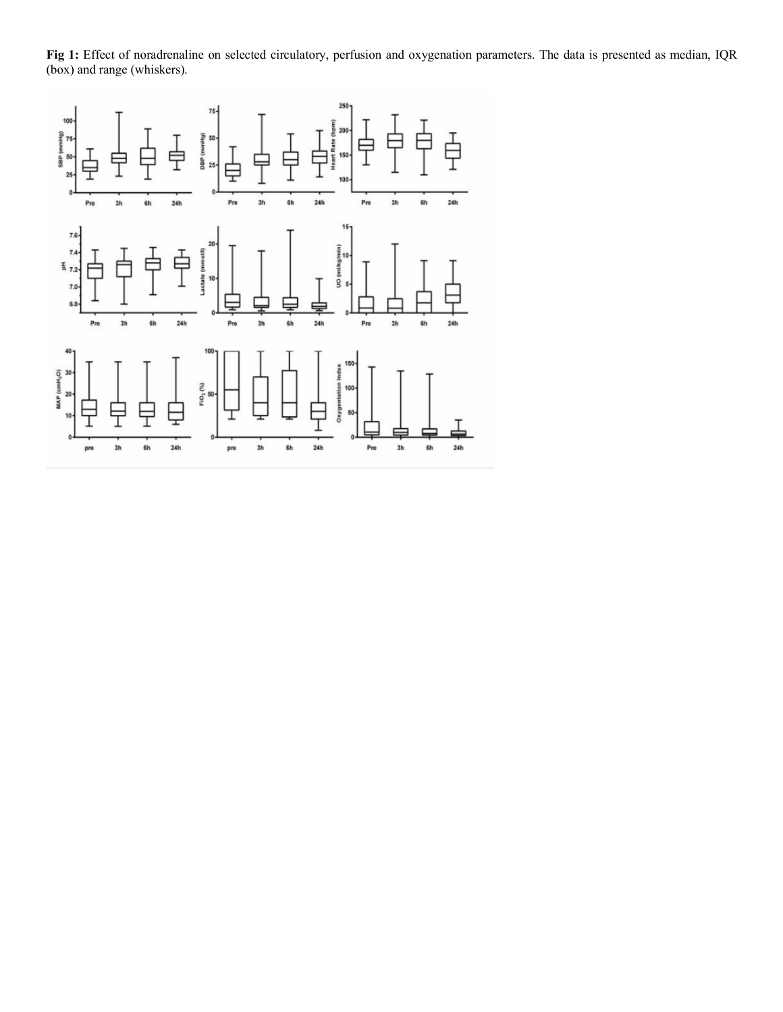**Fig 1:** Effect of noradrenaline on selected circulatory, perfusion and oxygenation parameters. The data is presented as median, IQR (box) and range (whiskers).

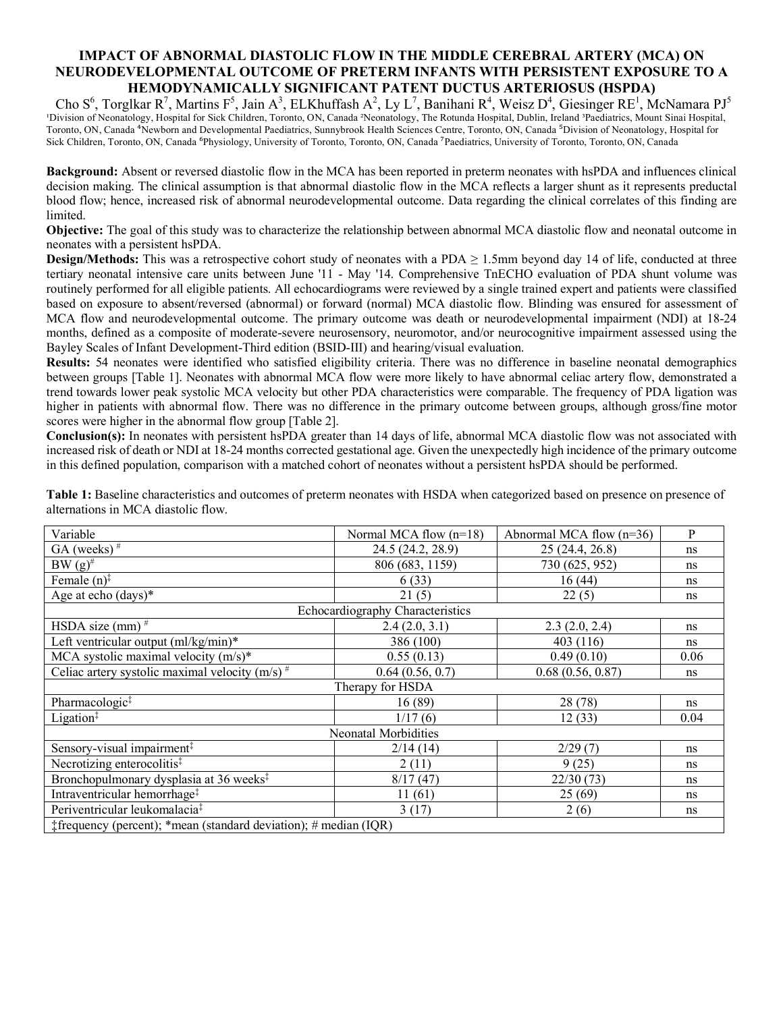## **IMPACT OF ABNORMAL DIASTOLIC FLOW IN THE MIDDLE CEREBRAL ARTERY (MCA) ON NEURODEVELOPMENTAL OUTCOME OF PRETERM INFANTS WITH PERSISTENT EXPOSURE TO A HEMODYNAMICALLY SIGNIFICANT PATENT DUCTUS ARTERIOSUS (HSPDA)**

Cho S<sup>6</sup>, Torglkar R<sup>7</sup>, Martins F<sup>5</sup>, Jain A<sup>3</sup>, ELKhuffash A<sup>2</sup>, Ly L<sup>7</sup>, Banihani R<sup>4</sup>, Weisz D<sup>4</sup>, Giesinger RE<sup>1</sup>, McNamara PJ<sup>5</sup> <sup>1</sup>Division of Neonatology, Hospital for Sick Children, Toronto, ON, Canada <sup>2</sup>Neonatology, The Rotunda Hospital, Dublin, Ireland <sup>3</sup>Paediatrics, Mount Sinai Hospital, Toronto, ON, Canada <sup>4</sup>Newborn and Developmental Paediatrics, Sunnybrook Health Sciences Centre, Toronto, ON, Canada <sup>5</sup>Division of Neonatology, Hospital for Sick Children, Toronto, ON, Canada <sup>6</sup>Physiology, University of Toronto, Toronto, ON, Canada <sup>7</sup>Paediatrics, University of Toronto, Toronto, ON, Canada

**Background:** Absent or reversed diastolic flow in the MCA has been reported in preterm neonates with hsPDA and influences clinical decision making. The clinical assumption is that abnormal diastolic flow in the MCA reflects a larger shunt as it represents preductal blood flow; hence, increased risk of abnormal neurodevelopmental outcome. Data regarding the clinical correlates of this finding are limited.

**Objective:** The goal of this study was to characterize the relationship between abnormal MCA diastolic flow and neonatal outcome in neonates with a persistent hsPDA.

**Design/Methods:** This was a retrospective cohort study of neonates with a PDA  $\geq$  1.5mm beyond day 14 of life, conducted at three tertiary neonatal intensive care units between June '11 - May '14. Comprehensive TnECHO evaluation of PDA shunt volume was routinely performed for all eligible patients. All echocardiograms were reviewed by a single trained expert and patients were classified based on exposure to absent/reversed (abnormal) or forward (normal) MCA diastolic flow. Blinding was ensured for assessment of MCA flow and neurodevelopmental outcome. The primary outcome was death or neurodevelopmental impairment (NDI) at 18-24 months, defined as a composite of moderate-severe neurosensory, neuromotor, and/or neurocognitive impairment assessed using the Bayley Scales of Infant Development-Third edition (BSID-III) and hearing/visual evaluation.

**Results:** 54 neonates were identified who satisfied eligibility criteria. There was no difference in baseline neonatal demographics between groups [Table 1]. Neonates with abnormal MCA flow were more likely to have abnormal celiac artery flow, demonstrated a trend towards lower peak systolic MCA velocity but other PDA characteristics were comparable. The frequency of PDA ligation was higher in patients with abnormal flow. There was no difference in the primary outcome between groups, although gross/fine motor scores were higher in the abnormal flow group [Table 2].

**Conclusion(s):** In neonates with persistent hsPDA greater than 14 days of life, abnormal MCA diastolic flow was not associated with increased risk of death or NDI at 18-24 months corrected gestational age. Given the unexpectedly high incidence of the primary outcome in this defined population, comparison with a matched cohort of neonates without a persistent hsPDA should be performed.

| Variable                                                         | Normal MCA flow $(n=18)$                | Abnormal MCA flow $(n=36)$ | P    |  |  |  |
|------------------------------------------------------------------|-----------------------------------------|----------------------------|------|--|--|--|
| GA (weeks) $#$                                                   | 24.5 (24.2, 28.9)                       | 25 (24.4, 26.8)            | ns   |  |  |  |
| $BW(g)^{\#}$                                                     | 806 (683, 1159)                         | 730 (625, 952)             | ns   |  |  |  |
| Female $(n)$ <sup><math>\ddagger</math></sup>                    | 6(33)                                   | 16(44)                     | ns   |  |  |  |
| Age at echo (days)*                                              | 21(5)                                   | 22(5)                      | ns   |  |  |  |
|                                                                  | <b>Echocardiography Characteristics</b> |                            |      |  |  |  |
| HSDA size $(mm)$ <sup>#</sup>                                    | 2.4(2.0, 3.1)                           | 2.3(2.0, 2.4)              | ns   |  |  |  |
| Left ventricular output $(m!/kg/min)*$                           | 386 (100)                               | 403 (116)                  | ns   |  |  |  |
| MCA systolic maximal velocity $(m/s)^*$                          | 0.55(0.13)                              | 0.49(0.10)                 | 0.06 |  |  |  |
| Celiac artery systolic maximal velocity $(m/s)^{\#}$             | 0.64(0.56, 0.7)                         | 0.68(0.56, 0.87)           | ns   |  |  |  |
|                                                                  | Therapy for HSDA                        |                            |      |  |  |  |
| Pharmacologic <sup>#</sup>                                       | 16(89)                                  | 28 (78)                    | ns   |  |  |  |
| Ligation <sup>‡</sup>                                            | 1/17(6)                                 | 12(33)                     | 0.04 |  |  |  |
|                                                                  | Neonatal Morbidities                    |                            |      |  |  |  |
| Sensory-visual impairment <sup>‡</sup>                           | 2/14(14)                                | 2/29(7)                    | ns   |  |  |  |
| Necrotizing enterocolitis <sup>‡</sup>                           | 2(11)                                   | 9(25)                      | ns   |  |  |  |
| Bronchopulmonary dysplasia at 36 weeks <sup>‡</sup>              | 8/17(47)                                | 22/30(73)                  | ns   |  |  |  |
| Intraventricular hemorrhage <sup>‡</sup>                         | 11(61)                                  | 25(69)                     | ns   |  |  |  |
| Periventricular leukomalacia <sup>‡</sup>                        | 3(17)                                   | 2(6)                       | ns   |  |  |  |
| #frequency (percent); *mean (standard deviation); # median (IQR) |                                         |                            |      |  |  |  |

**Table 1:** Baseline characteristics and outcomes of preterm neonates with HSDA when categorized based on presence on presence of alternations in MCA diastolic flow.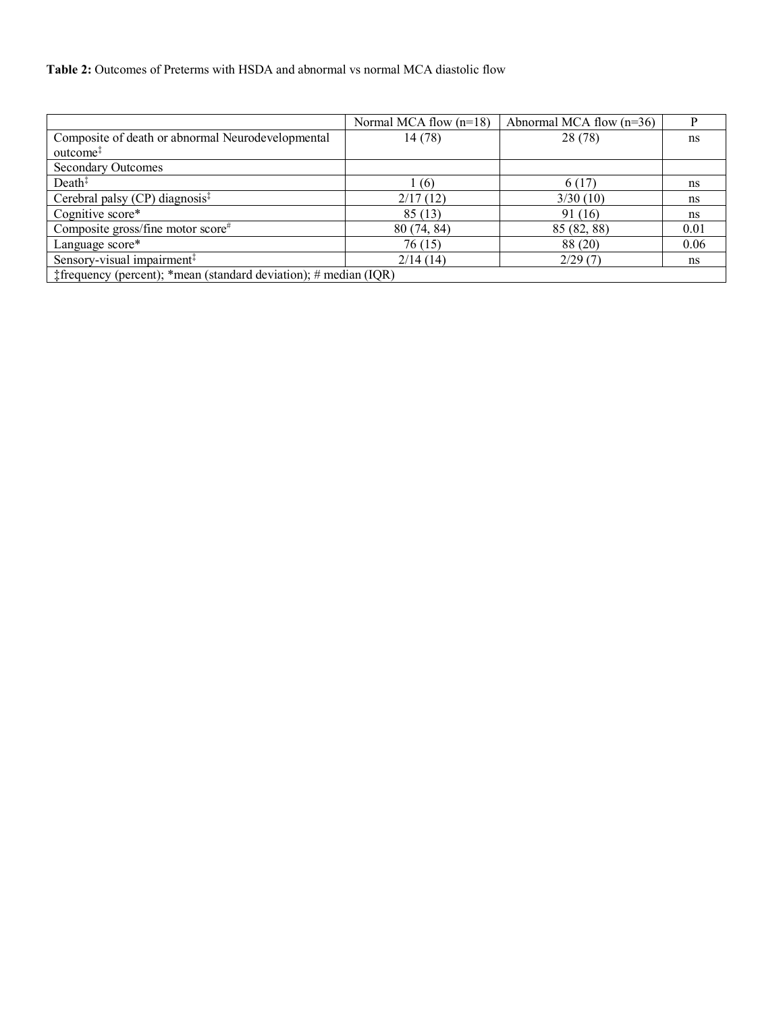|                                                                                        | Normal MCA flow $(n=18)$ | Abnormal MCA flow $(n=36)$ |      |
|----------------------------------------------------------------------------------------|--------------------------|----------------------------|------|
| Composite of death or abnormal Neurodevelopmental                                      | 14 (78)                  | 28 (78)                    | ns   |
| outcome <sup>‡</sup>                                                                   |                          |                            |      |
| <b>Secondary Outcomes</b>                                                              |                          |                            |      |
| Death <sup>‡</sup>                                                                     | (6)                      | 6 (17)                     | ns   |
| Cerebral palsy $(CP)$ diagnosis <sup><math>‡</math></sup>                              | 2/17(12)                 | 3/30(10)                   | ns   |
| Cognitive score*                                                                       | 85(13)                   | 91 (16)                    | ns   |
| Composite gross/fine motor score#                                                      | 80(74, 84)               | 85 (82, 88)                | 0.01 |
| Language score*                                                                        | 76 (15)                  | 88 (20)                    | 0.06 |
| Sensory-visual impairment <sup>‡</sup>                                                 | 2/14(14)                 | 2/29(7)                    | ns   |
| $\text{\textsterling}$ frequency (percent); *mean (standard deviation); # median (IQR) |                          |                            |      |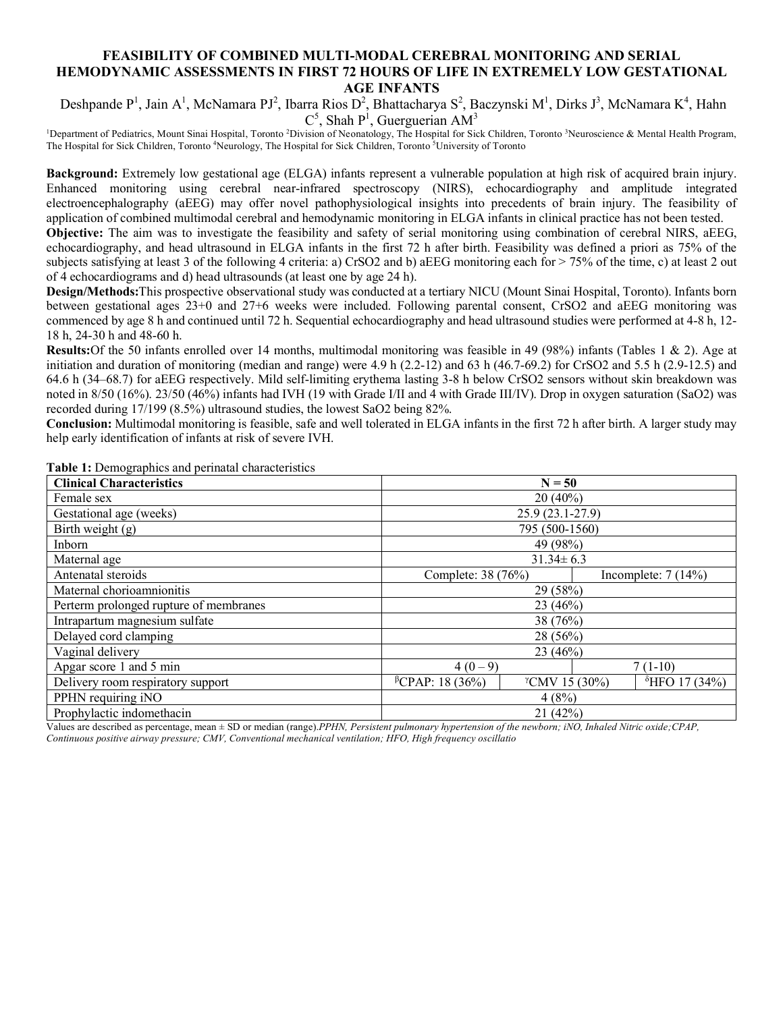### **FEASIBILITY OF COMBINED MULTI-MODAL CEREBRAL MONITORING AND SERIAL HEMODYNAMIC ASSESSMENTS IN FIRST 72 HOURS OF LIFE IN EXTREMELY LOW GESTATIONAL AGE INFANTS**

Deshpande P<sup>1</sup>, Jain A<sup>1</sup>, McNamara PJ<sup>2</sup>, Ibarra Rios D<sup>2</sup>, Bhattacharya S<sup>2</sup>, Baczynski M<sup>1</sup>, Dirks J<sup>3</sup>, McNamara K<sup>4</sup>, Hahn  $C^5$ , Shah P<sup>1</sup>, Guerguerian AM<sup>3</sup>

<sup>1</sup>Department of Pediatrics, Mount Sinai Hospital, Toronto <sup>2</sup>Division of Neonatology, The Hospital for Sick Children, Toronto <sup>3</sup>Neuroscience & Mental Health Program, The Hospital for Sick Children, Toronto <sup>4</sup>Neurology, The Hospital for Sick Children, Toronto <sup>5</sup>University of Toronto

**Background:** Extremely low gestational age (ELGA) infants represent a vulnerable population at high risk of acquired brain injury. Enhanced monitoring using cerebral near-infrared spectroscopy (NIRS), echocardiography and amplitude integrated electroencephalography (aEEG) may offer novel pathophysiological insights into precedents of brain injury. The feasibility of application of combined multimodal cerebral and hemodynamic monitoring in ELGA infants in clinical practice has not been tested.

**Objective:** The aim was to investigate the feasibility and safety of serial monitoring using combination of cerebral NIRS, aEEG, echocardiography, and head ultrasound in ELGA infants in the first 72 h after birth. Feasibility was defined a priori as 75% of the subjects satisfying at least 3 of the following 4 criteria: a) CrSO2 and b) aEEG monitoring each for > 75% of the time, c) at least 2 out of 4 echocardiograms and d) head ultrasounds (at least one by age 24 h).

**Design/Methods:**This prospective observational study was conducted at a tertiary NICU (Mount Sinai Hospital, Toronto). Infants born between gestational ages 23+0 and 27+6 weeks were included. Following parental consent, CrSO2 and aEEG monitoring was commenced by age 8 h and continued until 72 h. Sequential echocardiography and head ultrasound studies were performed at 4-8 h, 12- 18 h, 24-30 h and 48-60 h.

**Results:**Of the 50 infants enrolled over 14 months, multimodal monitoring was feasible in 49 (98%) infants (Tables 1 & 2). Age at initiation and duration of monitoring (median and range) were 4.9 h (2.2-12) and 63 h (46.7-69.2) for CrSO2 and 5.5 h (2.9-12.5) and 64.6 h (34–68.7) for aEEG respectively. Mild self-limiting erythema lasting 3-8 h below CrSO2 sensors without skin breakdown was noted in 8/50 (16%). 23/50 (46%) infants had IVH (19 with Grade I/II and 4 with Grade III/IV). Drop in oxygen saturation (SaO2) was recorded during 17/199 (8.5%) ultrasound studies, the lowest SaO2 being 82%.

**Conclusion:** Multimodal monitoring is feasible, safe and well tolerated in ELGA infants in the first 72 h after birth. A larger study may help early identification of infants at risk of severe IVH.

| <b>Clinical Characteristics</b>        | $N = 50$                                                                         |                      |  |  |
|----------------------------------------|----------------------------------------------------------------------------------|----------------------|--|--|
| Female sex                             | $20(40\%)$                                                                       |                      |  |  |
| Gestational age (weeks)                | $25.9(23.1-27.9)$                                                                |                      |  |  |
| Birth weight $(g)$                     | 795 (500-1560)                                                                   |                      |  |  |
| Inborn                                 | 49 (98%)                                                                         |                      |  |  |
| Maternal age                           | $31.34 \pm 6.3$                                                                  |                      |  |  |
| Antenatal steroids                     | Complete: 38 (76%)                                                               | Incomplete: $7(14%)$ |  |  |
| Maternal chorioamnionitis              | 29 (58%)                                                                         |                      |  |  |
| Perterm prolonged rupture of membranes | 23(46%)                                                                          |                      |  |  |
| Intrapartum magnesium sulfate          | 38 (76%)                                                                         |                      |  |  |
| Delayed cord clamping                  | $28(56\%)$                                                                       |                      |  |  |
| Vaginal delivery                       | 23 (46%)                                                                         |                      |  |  |
| Apgar score 1 and 5 min                | $4(0-9)$<br>$7(1-10)$                                                            |                      |  |  |
| Delivery room respiratory support      | ${}^{\beta}CPAP$ : 18 (36%)<br>$\delta$ HFO 17 (34%)<br>$^{\gamma}$ CMV 15 (30%) |                      |  |  |
| PPHN requiring iNO                     | 4(8%)                                                                            |                      |  |  |
| Prophylactic indomethacin              | 21(42%)                                                                          |                      |  |  |

**Table 1:** Demographics and perinatal characteristics

Values are described as percentage, mean ± SD or median (range).*PPHN, Persistent pulmonary hypertension of the newborn; iNO, Inhaled Nitric oxide;CPAP, Continuous positive airway pressure; CMV, Conventional mechanical ventilation; HFO, High frequency oscillatio*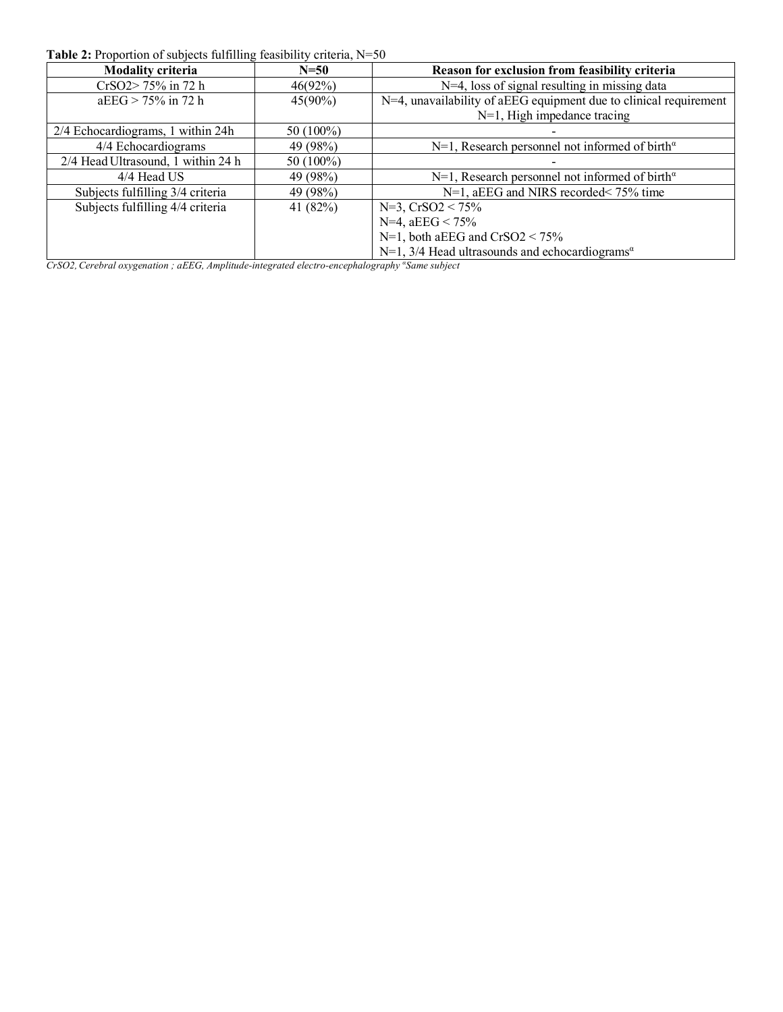| <b>Modality criteria</b>           | $N=50$     | Reason for exclusion from feasibility criteria                                  |
|------------------------------------|------------|---------------------------------------------------------------------------------|
| CrSO2>75% in 72 h                  | $46(92\%)$ | $N=4$ , loss of signal resulting in missing data                                |
| $aEEG > 75\%$ in 72 h              | $45(90\%)$ | N=4, unavailability of aEEG equipment due to clinical requirement               |
|                                    |            | $N=1$ , High impedance tracing                                                  |
| 2/4 Echocardiograms, 1 within 24h  | 50 (100%)  |                                                                                 |
| 4/4 Echocardiograms                | 49 (98%)   | $N=1$ , Research personnel not informed of birth <sup><math>\alpha</math></sup> |
| 2/4 Head Ultrasound, 1 within 24 h | 50 (100%)  |                                                                                 |
| 4/4 Head US                        | 49 (98%)   | $N=1$ , Research personnel not informed of birth <sup><math>\alpha</math></sup> |
| Subjects fulfilling 3/4 criteria   | 49 (98%)   | $N=1$ , aEEG and NIRS recorded < 75% time                                       |
| Subjects fulfilling 4/4 criteria   | 41 (82%)   | $N=3$ , $CrSO2 < 75\%$                                                          |
|                                    |            | N=4, $aEEG < 75\%$                                                              |
|                                    |            | $N=1$ , both aEEG and $CrSO2 < 75\%$                                            |
|                                    |            | $N=1$ , 3/4 Head ultrasounds and echocardiograms <sup><math>\alpha</math></sup> |

**Table 2:** Proportion of subjects fulfilling feasibility criteria, N=50

*CrSO2,Cerebral oxygenation ; aEEG, Amplitude-integrated electro-encephalography <sup>α</sup> Same subject*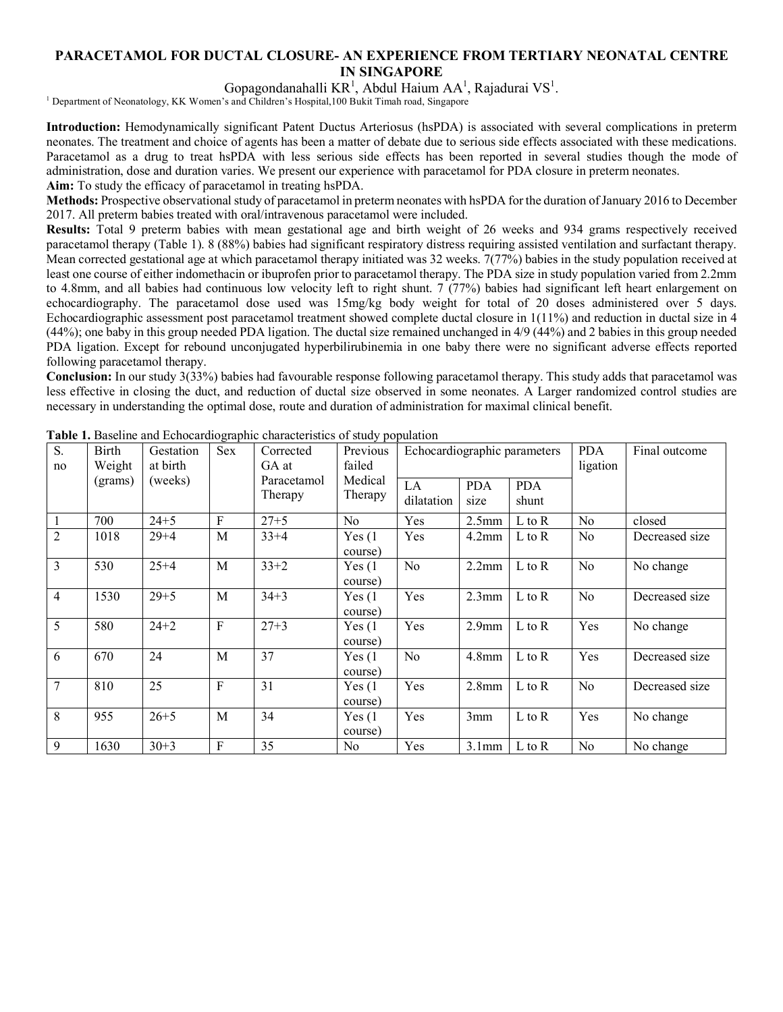## **PARACETAMOL FOR DUCTAL CLOSURE- AN EXPERIENCE FROM TERTIARY NEONATAL CENTRE IN SINGAPORE**

Gopagondanahalli  $KR<sup>1</sup>$ , Abdul Haium AA<sup>1</sup>, Rajadurai VS<sup>1</sup>.

<sup>1</sup> Department of Neonatology, KK Women's and Children's Hospital,100 Bukit Timah road, Singapore

**Introduction:** Hemodynamically significant Patent Ductus Arteriosus (hsPDA) is associated with several complications in preterm neonates. The treatment and choice of agents has been a matter of debate due to serious side effects associated with these medications. Paracetamol as a drug to treat hsPDA with less serious side effects has been reported in several studies though the mode of administration, dose and duration varies. We present our experience with paracetamol for PDA closure in preterm neonates. **Aim:** To study the efficacy of paracetamol in treating hsPDA.

**Methods:** Prospective observational study of paracetamol in preterm neonates with hsPDA for the duration of January 2016 to December 2017. All preterm babies treated with oral/intravenous paracetamol were included.

**Results:** Total 9 preterm babies with mean gestational age and birth weight of 26 weeks and 934 grams respectively received paracetamol therapy (Table 1). 8 (88%) babies had significant respiratory distress requiring assisted ventilation and surfactant therapy. Mean corrected gestational age at which paracetamol therapy initiated was 32 weeks. 7(77%) babies in the study population received at least one course of either indomethacin or ibuprofen prior to paracetamol therapy. The PDA size in study population varied from 2.2mm to 4.8mm, and all babies had continuous low velocity left to right shunt. 7 (77%) babies had significant left heart enlargement on echocardiography. The paracetamol dose used was 15mg/kg body weight for total of 20 doses administered over 5 days. Echocardiographic assessment post paracetamol treatment showed complete ductal closure in 1(11%) and reduction in ductal size in 4 (44%); one baby in this group needed PDA ligation. The ductal size remained unchanged in 4/9 (44%) and 2 babies in this group needed PDA ligation. Except for rebound unconjugated hyperbilirubinemia in one baby there were no significant adverse effects reported following paracetamol therapy.

**Conclusion:** In our study 3(33%) babies had favourable response following paracetamol therapy. This study adds that paracetamol was less effective in closing the duct, and reduction of ductal size observed in some neonates. A Larger randomized control studies are necessary in understanding the optimal dose, route and duration of administration for maximal clinical benefit.

| S.<br>no       | Birth<br>Weight | Gestation<br>at birth | Sex       | Corrected<br>GA at     | Previous<br>failed | Echocardiographic parameters |                    |                     | <b>PDA</b><br>ligation | Final outcome  |
|----------------|-----------------|-----------------------|-----------|------------------------|--------------------|------------------------------|--------------------|---------------------|------------------------|----------------|
|                | (grams)         | (weeks)               |           | Paracetamol<br>Therapy | Medical<br>Therapy | LA<br>dilatation             | <b>PDA</b><br>size | <b>PDA</b><br>shunt |                        |                |
|                | 700             | $24 + 5$              | F         | $27 + 5$               | No.                | Yes                          | 2.5 <sub>mm</sub>  | $L$ to $R$          | N <sub>0</sub>         | closed         |
| $\overline{2}$ | 1018            | $29 + 4$              | M         | $33+4$                 | Yes(1)<br>course)  | Yes                          | $4.2$ mm           | L to R              | N <sub>0</sub>         | Decreased size |
| 3              | 530             | $25 + 4$              | M         | $33 + 2$               | Yes(1)<br>course)  | N <sub>o</sub>               | 2.2mm              | $L$ to $R$          | N <sub>0</sub>         | No change      |
| $\overline{4}$ | 1530            | $29 + 5$              | M         | $34 + 3$               | Yes(1)<br>course)  | Yes                          | $2.3$ mm           | $L$ to $R$          | No                     | Decreased size |
| 5              | 580             | $24 + 2$              | ${\bf F}$ | $27 + 3$               | Yes(1)<br>course)  | Yes                          | 2.9 <sub>mm</sub>  | L to R              | Yes                    | No change      |
| 6              | 670             | 24                    | M         | 37                     | Yes(1)<br>course)  | N <sub>0</sub>               | $4.8$ mm           | L to R              | Yes                    | Decreased size |
| $\overline{7}$ | 810             | 25                    | F         | 31                     | Yes(1)<br>course)  | Yes                          | $2.8$ mm           | $L$ to $R$          | N <sub>0</sub>         | Decreased size |
| 8              | 955             | $26 + 5$              | M         | 34                     | Yes(1)<br>course)  | Yes                          | 3mm                | L to R              | Yes                    | No change      |
| 9              | 1630            | $30 + 3$              | F         | 35                     | No                 | Yes                          | 3.1mm              | L to R              | N <sub>o</sub>         | No change      |

**Table 1.** Baseline and Echocardiographic characteristics of study population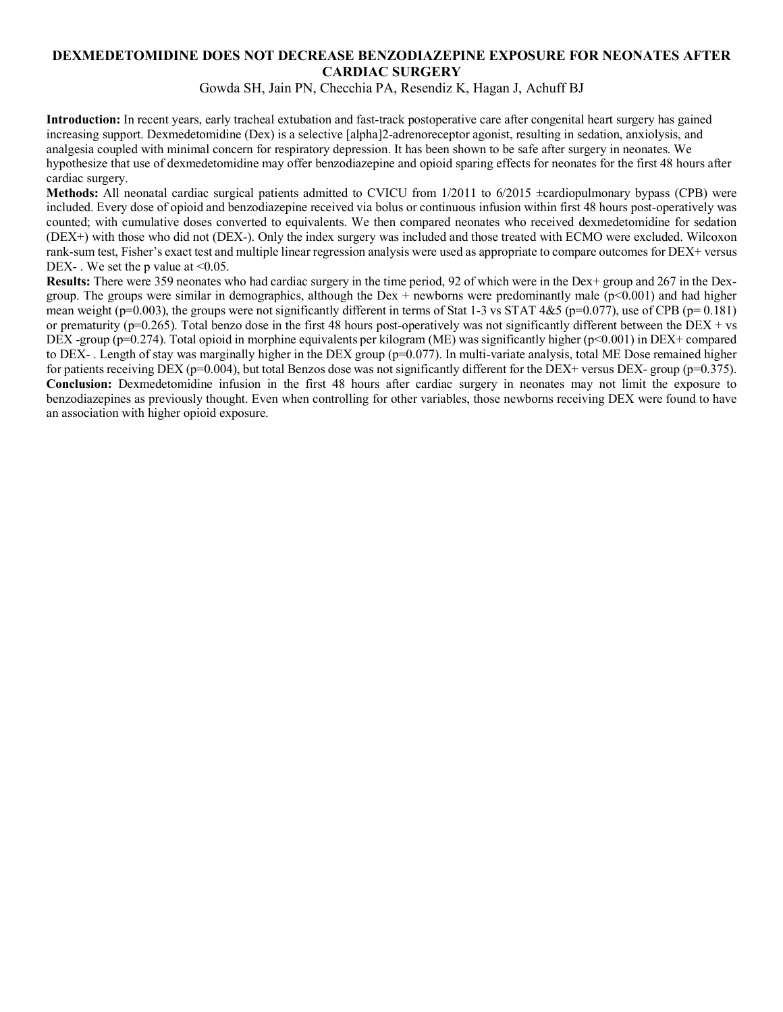## **DEXMEDETOMIDINE DOES NOT DECREASE BENZODIAZEPINE EXPOSURE FOR NEONATES AFTER CARDIAC SURGERY**

Gowda SH, Jain PN, Checchia PA, Resendiz K, Hagan J, Achuff BJ

**Introduction:** In recent years, early tracheal extubation and fast-track postoperative care after congenital heart surgery has gained increasing support. Dexmedetomidine (Dex) is a selective [alpha]2-adrenoreceptor agonist, resulting in sedation, anxiolysis, and analgesia coupled with minimal concern for respiratory depression. It has been shown to be safe after surgery in neonates. We hypothesize that use of dexmedetomidine may offer benzodiazepine and opioid sparing effects for neonates for the first 48 hours after cardiac surgery.

**Methods:** All neonatal cardiac surgical patients admitted to CVICU from 1/2011 to 6/2015  $\pm$ cardiopulmonary bypass (CPB) were included. Every dose of opioid and benzodiazepine received via bolus or continuous infusion within first 48 hours post-operatively was counted; with cumulative doses converted to equivalents. We then compared neonates who received dexmedetomidine for sedation (DEX+) with those who did not (DEX-). Only the index surgery was included and those treated with ECMO were excluded. Wilcoxon rank-sum test, Fisher's exact test and multiple linear regression analysis were used as appropriate to compare outcomes for DEX+ versus DEX-. We set the p value at  $\leq 0.05$ .

**Results:** There were 359 neonates who had cardiac surgery in the time period, 92 of which were in the Dex+ group and 267 in the Dexgroup. The groups were similar in demographics, although the Dex + newborns were predominantly male  $(p<0.001)$  and had higher mean weight (p=0.003), the groups were not significantly different in terms of Stat 1-3 vs STAT  $4&5$  (p=0.077), use of CPB (p= 0.181) or prematurity ( $p=0.265$ ). Total benzo dose in the first 48 hours post-operatively was not significantly different between the DEX + vs DEX -group (p=0.274). Total opioid in morphine equivalents per kilogram (ME) was significantly higher (p<0.001) in DEX+ compared to DEX-. Length of stay was marginally higher in the DEX group (p=0.077). In multi-variate analysis, total ME Dose remained higher for patients receiving DEX ( $p=0.004$ ), but total Benzos dose was not significantly different for the DEX+ versus DEX- group ( $p=0.375$ ). **Conclusion:** Dexmedetomidine infusion in the first 48 hours after cardiac surgery in neonates may not limit the exposure to benzodiazepines as previously thought. Even when controlling for other variables, those newborns receiving DEX were found to have an association with higher opioid exposure.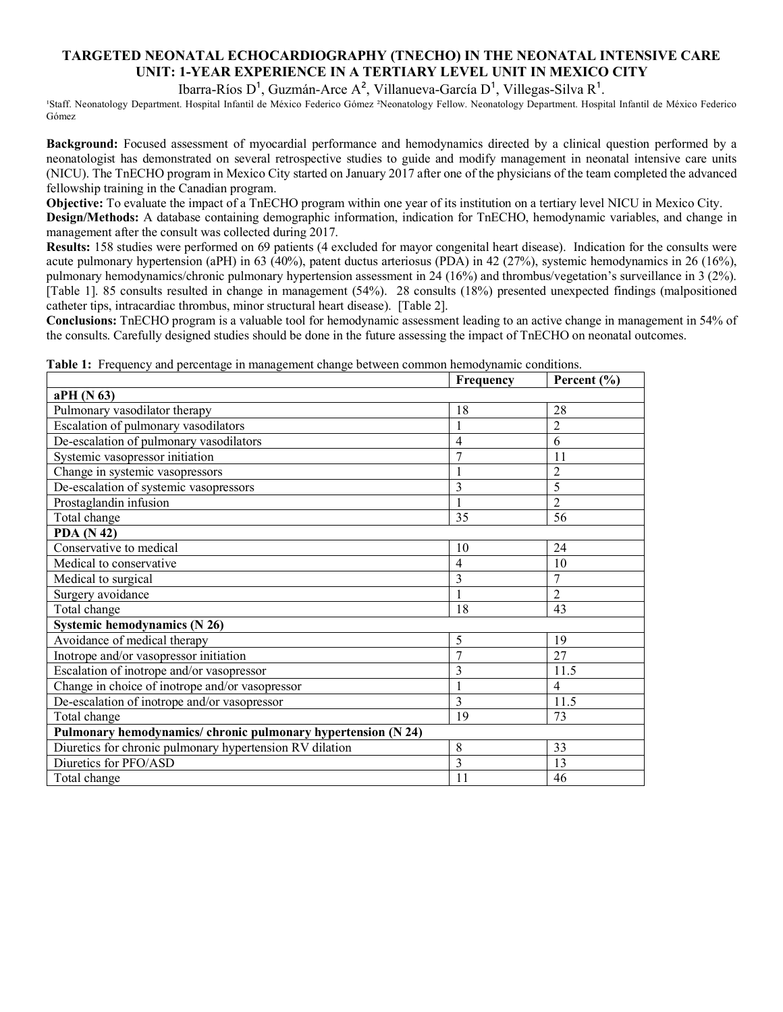## **TARGETED NEONATAL ECHOCARDIOGRAPHY (TNECHO) IN THE NEONATAL INTENSIVE CARE UNIT: 1-YEAR EXPERIENCE IN A TERTIARY LEVEL UNIT IN MEXICO CITY**

Ibarra-Ríos D<sup>1</sup>, Guzmán-Arce A<sup>2</sup>, Villanueva-García D<sup>1</sup>, Villegas-Silva R<sup>1</sup>.

¹Staff. Neonatology Department. Hospital Infantil de México Federico Gómez ²Neonatology Fellow. Neonatology Department. Hospital Infantil de México Federico Gómez

**Background:** Focused assessment of myocardial performance and hemodynamics directed by a clinical question performed by a neonatologist has demonstrated on several retrospective studies to guide and modify management in neonatal intensive care units (NICU). The TnECHO program in Mexico City started on January 2017 after one of the physicians of the team completed the advanced fellowship training in the Canadian program.

**Objective:** To evaluate the impact of a TnECHO program within one year of its institution on a tertiary level NICU in Mexico City. **Design/Methods:** A database containing demographic information, indication for TnECHO, hemodynamic variables, and change in management after the consult was collected during 2017.

**Results:** 158 studies were performed on 69 patients (4 excluded for mayor congenital heart disease). Indication for the consults were acute pulmonary hypertension (aPH) in 63 (40%), patent ductus arteriosus (PDA) in 42 (27%), systemic hemodynamics in 26 (16%), pulmonary hemodynamics/chronic pulmonary hypertension assessment in 24 (16%) and thrombus/vegetation's surveillance in 3 (2%). [Table 1]. 85 consults resulted in change in management (54%). 28 consults (18%) presented unexpected findings (malpositioned catheter tips, intracardiac thrombus, minor structural heart disease). [Table 2].

**Conclusions:** TnECHO program is a valuable tool for hemodynamic assessment leading to an active change in management in 54% of the consults. Carefully designed studies should be done in the future assessing the impact of TnECHO on neonatal outcomes.

| 1100 acres / with percentage in management change certified commo | Frequency      | Percent $(\% )$ |  |  |  |
|-------------------------------------------------------------------|----------------|-----------------|--|--|--|
| aPH (N 63)                                                        |                |                 |  |  |  |
| Pulmonary vasodilator therapy                                     | 18             | 28              |  |  |  |
| Escalation of pulmonary vasodilators                              |                | 2               |  |  |  |
| De-escalation of pulmonary vasodilators                           | $\overline{4}$ | 6               |  |  |  |
| Systemic vasopressor initiation                                   | 7              | 11              |  |  |  |
| Change in systemic vasopressors                                   |                | $\overline{c}$  |  |  |  |
| De-escalation of systemic vasopressors                            | 3              | 5               |  |  |  |
| Prostaglandin infusion                                            |                | $\overline{2}$  |  |  |  |
| Total change                                                      | 35             | 56              |  |  |  |
| <b>PDA</b> (N 42)                                                 |                |                 |  |  |  |
| Conservative to medical                                           | 10             | 24              |  |  |  |
| Medical to conservative                                           | $\overline{4}$ | 10              |  |  |  |
| Medical to surgical                                               | 3              | 7               |  |  |  |
| Surgery avoidance                                                 |                | $\overline{2}$  |  |  |  |
| Total change                                                      | 18             | 43              |  |  |  |
| <b>Systemic hemodynamics (N 26)</b>                               |                |                 |  |  |  |
| Avoidance of medical therapy                                      | 5              | 19              |  |  |  |
| Inotrope and/or vasopressor initiation                            | 7              | 27              |  |  |  |
| Escalation of inotrope and/or vasopressor                         | 3              | 11.5            |  |  |  |
| Change in choice of inotrope and/or vasopressor                   |                | 4               |  |  |  |
| De-escalation of inotrope and/or vasopressor                      | 3              | 11.5            |  |  |  |
| Total change                                                      | 19             | 73              |  |  |  |
| Pulmonary hemodynamics/chronic pulmonary hypertension (N 24)      |                |                 |  |  |  |
| Diuretics for chronic pulmonary hypertension RV dilation          | 8              | 33              |  |  |  |
| Diuretics for PFO/ASD                                             | 3              | 13              |  |  |  |
| Total change                                                      | 11             | 46              |  |  |  |

**Table 1:** Frequency and percentage in management change between common hemodynamic conditions.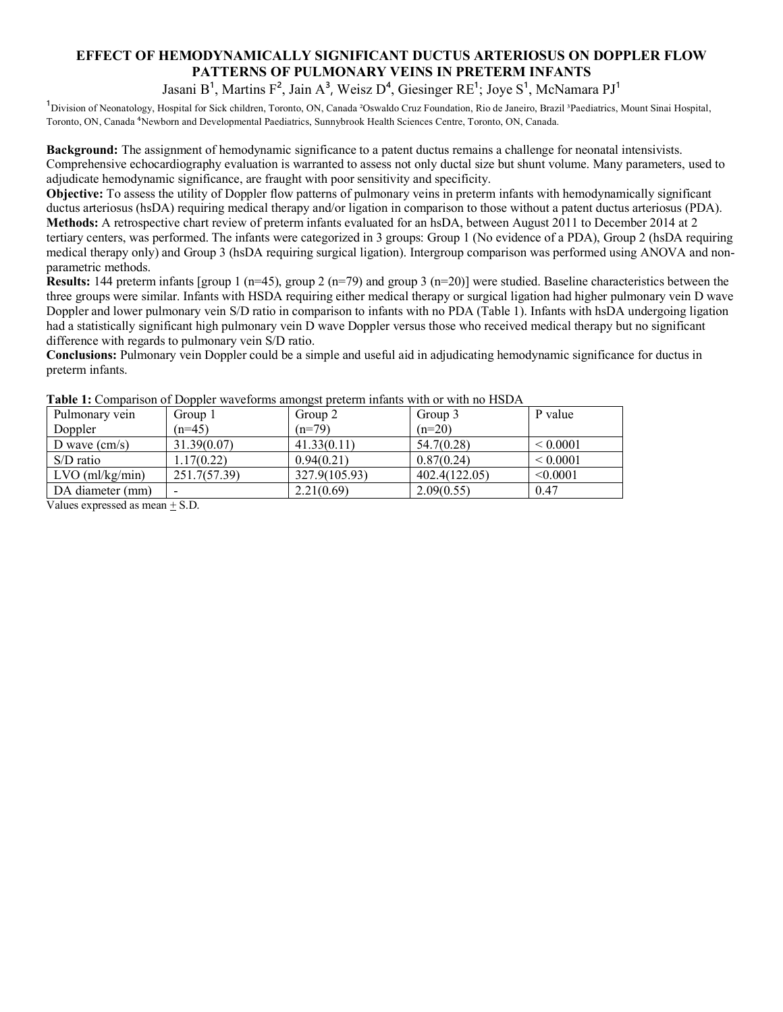## **EFFECT OF HEMODYNAMICALLY SIGNIFICANT DUCTUS ARTERIOSUS ON DOPPLER FLOW PATTERNS OF PULMONARY VEINS IN PRETERM INFANTS**

Jasani  $B^1$ , Martins  $F^2$ , Jain  $A^3$ , Weisz  $D^4$ , Giesinger RE<sup>1</sup>; Joye  $S^1$ , McNamara PJ<sup>1</sup>

<sup>1</sup>Division of Neonatology, Hospital for Sick children, Toronto, ON, Canada <sup>2</sup>Oswaldo Cruz Foundation, Rio de Janeiro, Brazil <sup>3</sup>Paediatrics, Mount Sinai Hospital, Toronto, ON, Canada ⁴Newborn and Developmental Paediatrics, Sunnybrook Health Sciences Centre, Toronto, ON, Canada.

**Background:** The assignment of hemodynamic significance to a patent ductus remains a challenge for neonatal intensivists. Comprehensive echocardiography evaluation is warranted to assess not only ductal size but shunt volume. Many parameters, used to adjudicate hemodynamic significance, are fraught with poor sensitivity and specificity.

**Objective:** To assess the utility of Doppler flow patterns of pulmonary veins in preterm infants with hemodynamically significant ductus arteriosus (hsDA) requiring medical therapy and/or ligation in comparison to those without a patent ductus arteriosus (PDA). **Methods:** A retrospective chart review of preterm infants evaluated for an hsDA, between August 2011 to December 2014 at 2 tertiary centers, was performed. The infants were categorized in 3 groups: Group 1 (No evidence of a PDA), Group 2 (hsDA requiring medical therapy only) and Group 3 (hsDA requiring surgical ligation). Intergroup comparison was performed using ANOVA and nonparametric methods.

**Results:** 144 preterm infants [group 1 (n=45), group 2 (n=79) and group 3 (n=20)] were studied. Baseline characteristics between the three groups were similar. Infants with HSDA requiring either medical therapy or surgical ligation had higher pulmonary vein D wave Doppler and lower pulmonary vein S/D ratio in comparison to infants with no PDA (Table 1). Infants with hsDA undergoing ligation had a statistically significant high pulmonary vein D wave Doppler versus those who received medical therapy but no significant difference with regards to pulmonary vein S/D ratio.

**Conclusions:** Pulmonary vein Doppler could be a simple and useful aid in adjudicating hemodynamic significance for ductus in preterm infants.

| Pulmonary vein         | Group 1                  | Group 2       | Group 3       | P value      |
|------------------------|--------------------------|---------------|---------------|--------------|
| Doppler                | $(n=45)$                 | $(n=79)$      | $(n=20)$      |              |
| D wave $\text{(cm/s)}$ | 31.39(0.07)              | 41.33(0.11)   | 54.7(0.28)    | ${}< 0.0001$ |
| $S/D$ ratio            | 1.17(0.22)               | 0.94(0.21)    | 0.87(0.24)    | ${}< 0.0001$ |
| $LVO$ (ml/kg/min)      | 251.7(57.39)             | 327.9(105.93) | 402.4(122.05) | < 0.0001     |
| DA diameter (mm)       | $\overline{\phantom{0}}$ | 2.21(0.69)    | 2.09(0.55)    | 0.47         |

**Table 1:** Comparison of Doppler waveforms amongst preterm infants with or with no HSDA

Values expressed as mean + S.D.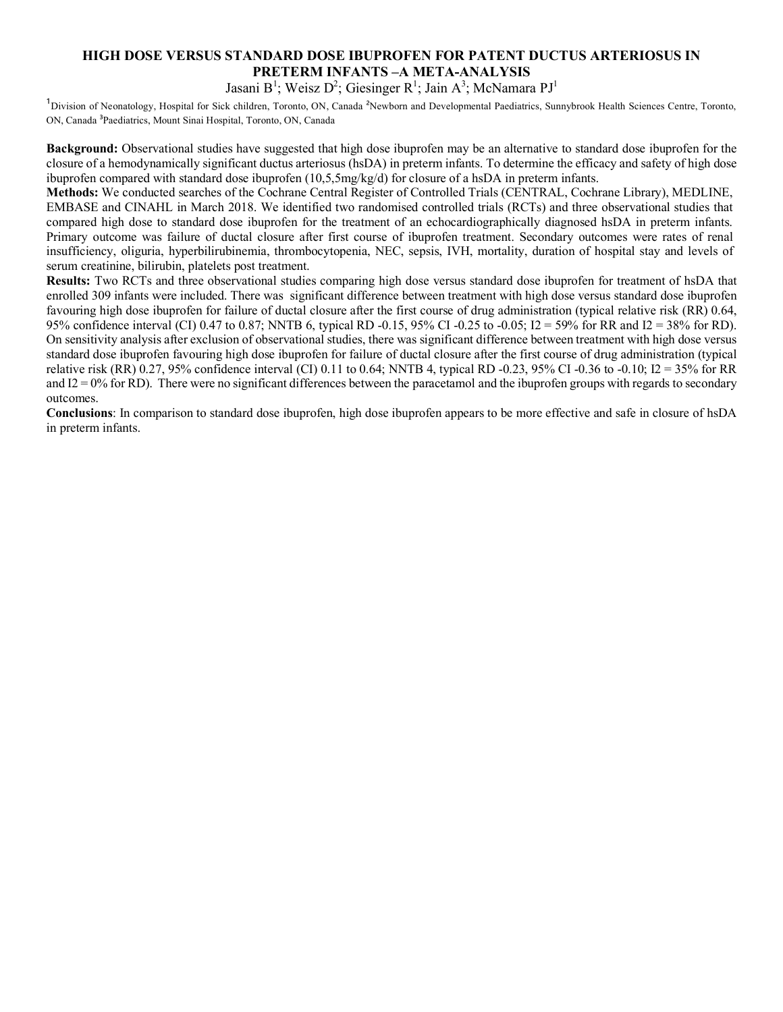## **HIGH DOSE VERSUS STANDARD DOSE IBUPROFEN FOR PATENT DUCTUS ARTERIOSUS IN PRETERM INFANTS –A META-ANALYSIS**

Jasani B<sup>1</sup>; Weisz D<sup>2</sup>; Giesinger R<sup>1</sup>; Jain A<sup>3</sup>; McNamara PJ<sup>1</sup>

Division of Neonatology, Hospital for Sick children, Toronto, ON, Canada <sup>2</sup>Newborn and Developmental Paediatrics, Sunnybrook Health Sciences Centre, Toronto, ON, Canada ³Paediatrics, Mount Sinai Hospital, Toronto, ON, Canada

**Background:** Observational studies have suggested that high dose ibuprofen may be an alternative to standard dose ibuprofen for the closure of a hemodynamically significant ductus arteriosus (hsDA) in preterm infants. To determine the efficacy and safety of high dose ibuprofen compared with standard dose ibuprofen (10,5,5mg/kg/d) for closure of a hsDA in preterm infants.

**Methods:** We conducted searches of the Cochrane Central Register of Controlled Trials (CENTRAL, Cochrane Library), MEDLINE, EMBASE and CINAHL in March 2018. We identified two randomised controlled trials (RCTs) and three observational studies that compared high dose to standard dose ibuprofen for the treatment of an echocardiographically diagnosed hsDA in preterm infants. Primary outcome was failure of ductal closure after first course of ibuprofen treatment. Secondary outcomes were rates of renal insufficiency, oliguria, hyperbilirubinemia, thrombocytopenia, NEC, sepsis, IVH, mortality, duration of hospital stay and levels of serum creatinine, bilirubin, platelets post treatment.

**Results:** Two RCTs and three observational studies comparing high dose versus standard dose ibuprofen for treatment of hsDA that enrolled 309 infants were included. There was significant difference between treatment with high dose versus standard dose ibuprofen favouring high dose ibuprofen for failure of ductal closure after the first course of drug administration (typical relative risk (RR) 0.64, 95% confidence interval (CI) 0.47 to 0.87; NNTB 6, typical RD -0.15, 95% CI -0.25 to -0.05; I2 = 59% for RR and I2 = 38% for RD). On sensitivity analysis after exclusion of observational studies, there was significant difference between treatment with high dose versus standard dose ibuprofen favouring high dose ibuprofen for failure of ductal closure after the first course of drug administration (typical relative risk (RR) 0.27, 95% confidence interval (CI) 0.11 to 0.64; NNTB 4, typical RD -0.23, 95% CI -0.36 to -0.10; I2 = 35% for RR and  $I2 = 0\%$  for RD). There were no significant differences between the paracetamol and the ibuprofen groups with regards to secondary outcomes.

**Conclusions**: In comparison to standard dose ibuprofen, high dose ibuprofen appears to be more effective and safe in closure of hsDA in preterm infants.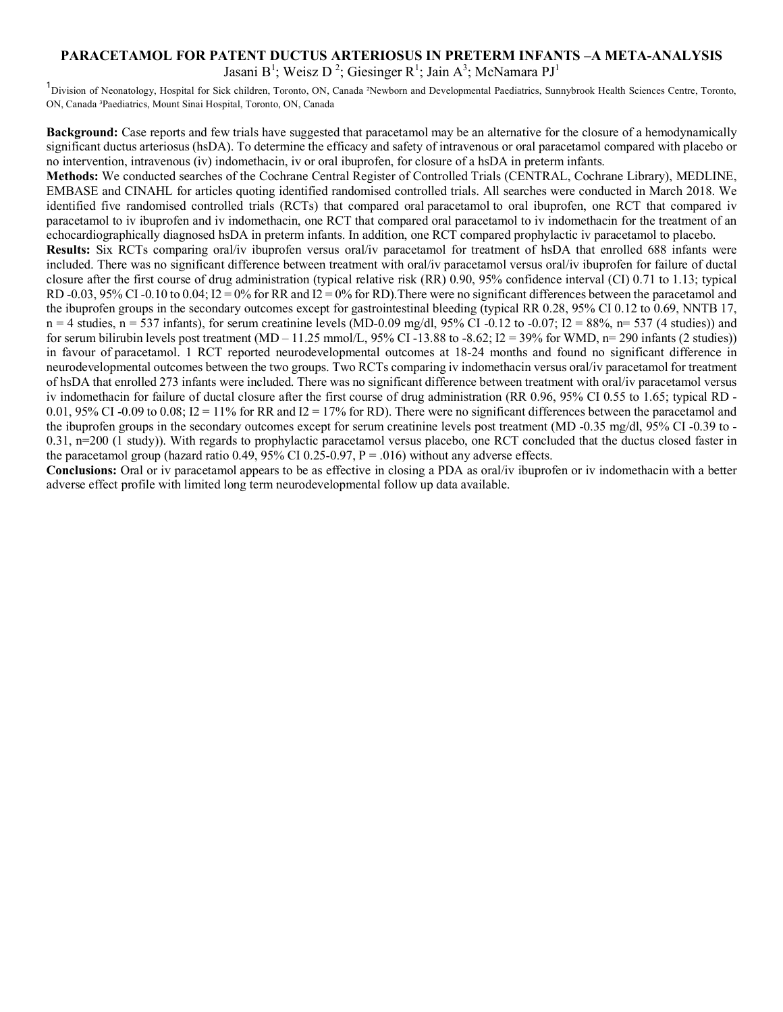## **PARACETAMOL FOR PATENT DUCTUS ARTERIOSUS IN PRETERM INFANTS –A META-ANALYSIS** Jasani B<sup>1</sup>; Weisz D<sup>2</sup>; Giesinger R<sup>1</sup>; Jain A<sup>3</sup>; McNamara PJ<sup>1</sup>

<sup>1</sup>Division of Neonatology, Hospital for Sick children, Toronto, ON, Canada <sup>2</sup>Newborn and Developmental Paediatrics, Sunnybrook Health Sciences Centre, Toronto, ON, Canada ³Paediatrics, Mount Sinai Hospital, Toronto, ON, Canada

**Background:** Case reports and few trials have suggested that paracetamol may be an alternative for the closure of a hemodynamically significant ductus arteriosus (hsDA). To determine the efficacy and safety of intravenous or oral paracetamol compared with placebo or no intervention, intravenous (iv) indomethacin, iv or oral ibuprofen, for closure of a hsDA in preterm infants.

**Methods:** We conducted searches of the Cochrane Central Register of Controlled Trials (CENTRAL, Cochrane Library), MEDLINE, EMBASE and CINAHL for articles quoting identified randomised controlled trials. All searches were conducted in March 2018. We identified five randomised controlled trials (RCTs) that compared oral paracetamol to oral ibuprofen, one RCT that compared iv paracetamol to iv ibuprofen and iv indomethacin, one RCT that compared oral paracetamol to iv indomethacin for the treatment of an echocardiographically diagnosed hsDA in preterm infants. In addition, one RCT compared prophylactic iv paracetamol to placebo. **Results:** Six RCTs comparing oral/iv ibuprofen versus oral/iv paracetamol for treatment of hsDA that enrolled 688 infants were included. There was no significant difference between treatment with oral/iv paracetamol versus oral/iv ibuprofen for failure of ductal closure after the first course of drug administration (typical relative risk (RR) 0.90, 95% confidence interval (CI) 0.71 to 1.13; typical RD -0.03, 95% CI -0.10 to 0.04; I2 = 0% for RR and I2 = 0% for RD). There were no significant differences between the paracetamol and the ibuprofen groups in the secondary outcomes except for gastrointestinal bleeding (typical RR 0.28, 95% CI 0.12 to 0.69, NNTB 17,  $n = 4$  studies,  $n = 537$  infants), for serum creatinine levels (MD-0.09 mg/dl, 95% CI -0.12 to -0.07; I2 = 88%, n= 537 (4 studies)) and for serum bilirubin levels post treatment (MD – 11.25 mmol/L, 95% CI -13.88 to -8.62; I2 = 39% for WMD, n= 290 infants (2 studies)) in favour of paracetamol. 1 RCT reported neurodevelopmental outcomes at 18-24 months and found no significant difference in neurodevelopmental outcomes between the two groups. Two RCTs comparing iv indomethacin versus oral/iv paracetamol for treatment of hsDA that enrolled 273 infants were included. There was no significant difference between treatment with oral/iv paracetamol versus iv indomethacin for failure of ductal closure after the first course of drug administration (RR 0.96, 95% CI 0.55 to 1.65; typical RD - 0.01, 95% CI -0.09 to 0.08; I2 = 11% for RR and I2 = 17% for RD). There were no significant differences between the paracetamol and the ibuprofen groups in the secondary outcomes except for serum creatinine levels post treatment (MD -0.35 mg/dl, 95% CI -0.39 to - 0.31, n=200 (1 study)). With regards to prophylactic paracetamol versus placebo, one RCT concluded that the ductus closed faster in the paracetamol group (hazard ratio 0.49, 95% CI 0.25-0.97,  $P = .016$ ) without any adverse effects.

**Conclusions:** Oral or iv paracetamol appears to be as effective in closing a PDA as oral/iv ibuprofen or iv indomethacin with a better adverse effect profile with limited long term neurodevelopmental follow up data available.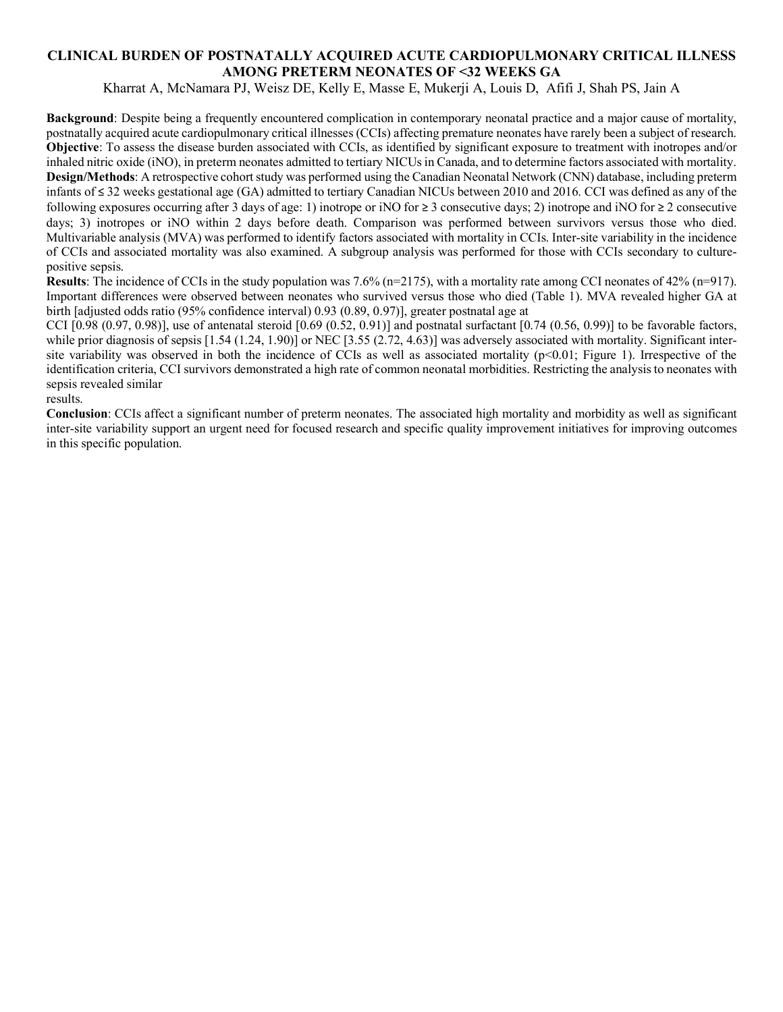## **CLINICAL BURDEN OF POSTNATALLY ACQUIRED ACUTE CARDIOPULMONARY CRITICAL ILLNESS AMONG PRETERM NEONATES OF <32 WEEKS GA**

Kharrat A, McNamara PJ, Weisz DE, Kelly E, Masse E, Mukerji A, Louis D, Afifi J, Shah PS, Jain A

**Background**: Despite being a frequently encountered complication in contemporary neonatal practice and a major cause of mortality, postnatally acquired acute cardiopulmonary critical illnesses (CCIs) affecting premature neonates have rarely been a subject of research. **Objective**: To assess the disease burden associated with CCIs, as identified by significant exposure to treatment with inotropes and/or inhaled nitric oxide (iNO), in preterm neonates admitted to tertiary NICUs in Canada, and to determine factors associated with mortality. **Design/Methods**: A retrospective cohort study was performed using the Canadian Neonatal Network (CNN) database, including preterm infants of ≤ 32 weeks gestational age (GA) admitted to tertiary Canadian NICUs between 2010 and 2016. CCI was defined as any of the following exposures occurring after 3 days of age: 1) inotrope or iNO for  $\geq$  3 consecutive days; 2) inotrope and iNO for  $\geq$  2 consecutive days; 3) inotropes or iNO within 2 days before death. Comparison was performed between survivors versus those who died. Multivariable analysis (MVA) was performed to identify factors associated with mortality in CCIs. Inter-site variability in the incidence of CCIs and associated mortality was also examined. A subgroup analysis was performed for those with CCIs secondary to culturepositive sepsis.

**Results**: The incidence of CCIs in the study population was 7.6% (n=2175), with a mortality rate among CCI neonates of 42% (n=917). Important differences were observed between neonates who survived versus those who died (Table 1). MVA revealed higher GA at birth [adjusted odds ratio (95% confidence interval) 0.93 (0.89, 0.97)], greater postnatal age at

CCI  $[0.98 (0.97, 0.98)]$ , use of antenatal steroid  $[0.69 (0.52, 0.91)]$  and postnatal surfactant  $[0.74 (0.56, 0.99)]$  to be favorable factors, while prior diagnosis of sepsis [1.54 (1.24, 1.90)] or NEC [3.55 (2.72, 4.63)] was adversely associated with mortality. Significant intersite variability was observed in both the incidence of CCIs as well as associated mortality  $(p<0.01$ ; Figure 1). Irrespective of the identification criteria, CCI survivors demonstrated a high rate of common neonatal morbidities. Restricting the analysis to neonates with sepsis revealed similar

results.

**Conclusion**: CCIs affect a significant number of preterm neonates. The associated high mortality and morbidity as well as significant inter-site variability support an urgent need for focused research and specific quality improvement initiatives for improving outcomes in this specific population.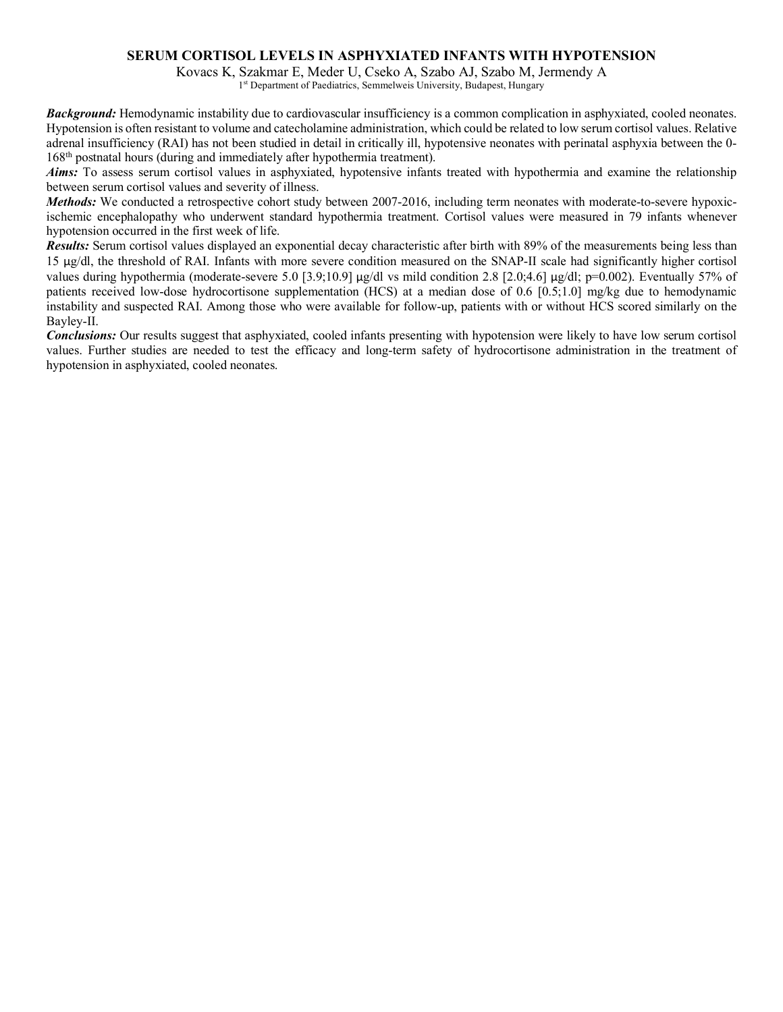#### **SERUM CORTISOL LEVELS IN ASPHYXIATED INFANTS WITH HYPOTENSION**

Kovacs K, Szakmar E, Meder U, Cseko A, Szabo AJ, Szabo M, Jermendy A

1<sup>st</sup> Department of Paediatrics, Semmelweis University, Budapest, Hungary

*Background:* Hemodynamic instability due to cardiovascular insufficiency is a common complication in asphyxiated, cooled neonates. Hypotension is often resistant to volume and catecholamine administration, which could be related to low serum cortisol values. Relative adrenal insufficiency (RAI) has not been studied in detail in critically ill, hypotensive neonates with perinatal asphyxia between the 0- 168th postnatal hours (during and immediately after hypothermia treatment).

*Aims:* To assess serum cortisol values in asphyxiated, hypotensive infants treated with hypothermia and examine the relationship between serum cortisol values and severity of illness.

*Methods:* We conducted a retrospective cohort study between 2007-2016, including term neonates with moderate-to-severe hypoxicischemic encephalopathy who underwent standard hypothermia treatment. Cortisol values were measured in 79 infants whenever hypotension occurred in the first week of life.

*Results:* Serum cortisol values displayed an exponential decay characteristic after birth with 89% of the measurements being less than 15 μg/dl, the threshold of RAI. Infants with more severe condition measured on the SNAP-II scale had significantly higher cortisol values during hypothermia (moderate-severe 5.0 [3.9;10.9] μg/dl vs mild condition 2.8 [2.0;4.6] μg/dl; p=0.002). Eventually 57% of patients received low-dose hydrocortisone supplementation (HCS) at a median dose of 0.6 [0.5;1.0] mg/kg due to hemodynamic instability and suspected RAI. Among those who were available for follow-up, patients with or without HCS scored similarly on the Bayley-II.

*Conclusions:* Our results suggest that asphyxiated, cooled infants presenting with hypotension were likely to have low serum cortisol values. Further studies are needed to test the efficacy and long-term safety of hydrocortisone administration in the treatment of hypotension in asphyxiated, cooled neonates.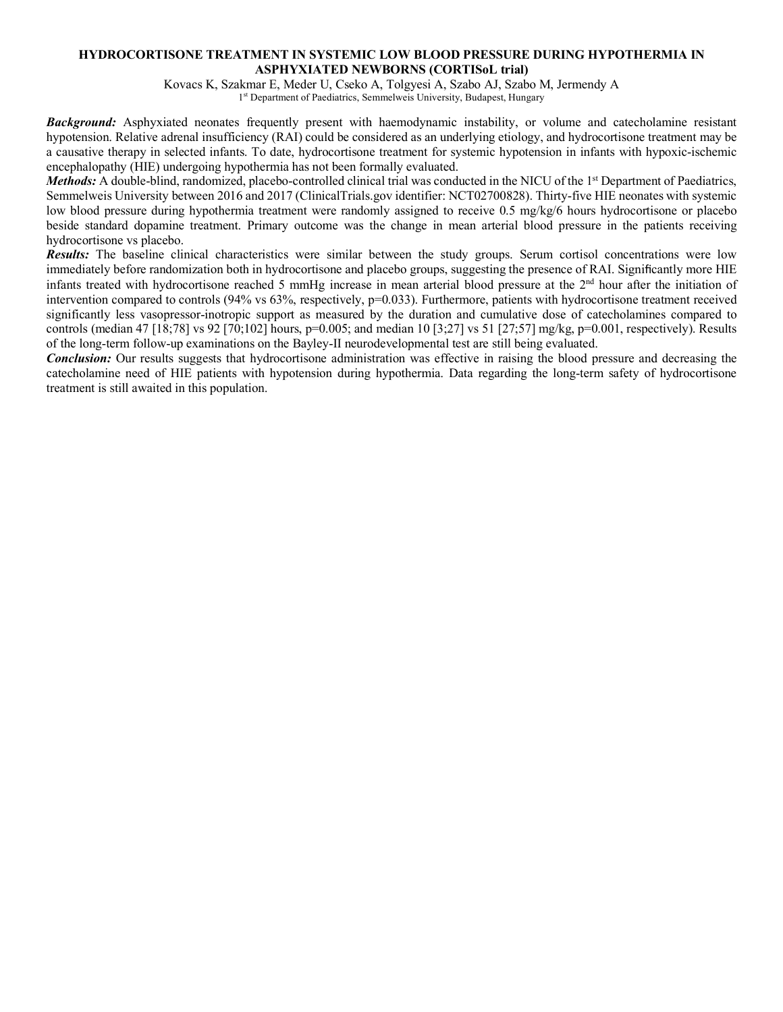#### **HYDROCORTISONE TREATMENT IN SYSTEMIC LOW BLOOD PRESSURE DURING HYPOTHERMIA IN ASPHYXIATED NEWBORNS (CORTISoL trial)**

Kovacs K, Szakmar E, Meder U, Cseko A, Tolgyesi A, Szabo AJ, Szabo M, Jermendy A 1<sup>st</sup> Department of Paediatrics, Semmelweis University, Budapest, Hungary

*Background:* Asphyxiated neonates frequently present with haemodynamic instability, or volume and catecholamine resistant hypotension. Relative adrenal insufficiency (RAI) could be considered as an underlying etiology, and hydrocortisone treatment may be a causative therapy in selected infants. To date, hydrocortisone treatment for systemic hypotension in infants with hypoxic-ischemic encephalopathy (HIE) undergoing hypothermia has not been formally evaluated.

*Methods:* A double-blind, randomized, placebo-controlled clinical trial was conducted in the NICU of the 1<sup>st</sup> Department of Paediatrics, Semmelweis University between 2016 and 2017 (ClinicalTrials.gov identifier: NCT02700828). Thirty-five HIE neonates with systemic low blood pressure during hypothermia treatment were randomly assigned to receive 0.5 mg/kg/6 hours hydrocortisone or placebo beside standard dopamine treatment. Primary outcome was the change in mean arterial blood pressure in the patients receiving hydrocortisone vs placebo.

*Results:* The baseline clinical characteristics were similar between the study groups. Serum cortisol concentrations were low immediately before randomization both in hydrocortisone and placebo groups, suggesting the presence of RAI. Significantly more HIE infants treated with hydrocortisone reached 5 mmHg increase in mean arterial blood pressure at the  $2<sup>nd</sup>$  hour after the initiation of intervention compared to controls (94% vs 63%, respectively, p=0.033). Furthermore, patients with hydrocortisone treatment received significantly less vasopressor-inotropic support as measured by the duration and cumulative dose of catecholamines compared to controls (median 47 [18;78] vs 92 [70;102] hours, p=0.005; and median 10 [3;27] vs 51 [27;57] mg/kg, p=0.001, respectively). Results of the long-term follow-up examinations on the Bayley-II neurodevelopmental test are still being evaluated.

*Conclusion:* Our results suggests that hydrocortisone administration was effective in raising the blood pressure and decreasing the catecholamine need of HIE patients with hypotension during hypothermia. Data regarding the long-term safety of hydrocortisone treatment is still awaited in this population.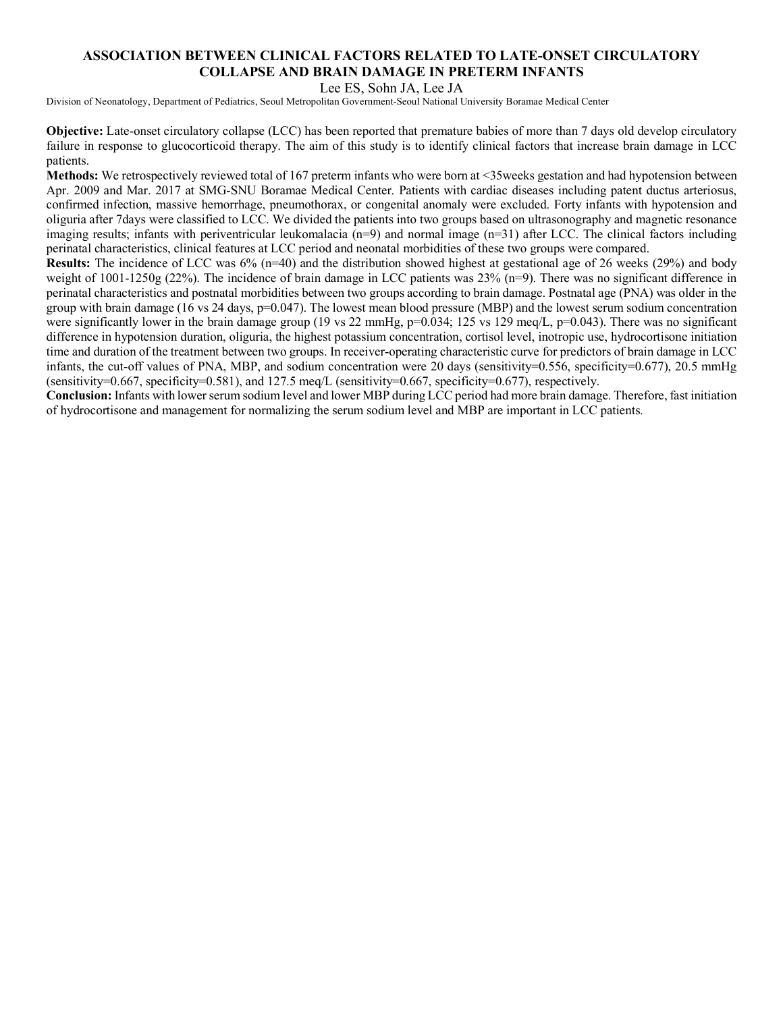### **ASSOCIATION BETWEEN CLINICAL FACTORS RELATED TO LATE-ONSET CIRCULATORY COLLAPSE AND BRAIN DAMAGE IN PRETERM INFANTS**

Lee ES, Sohn JA, Lee JA

Division of Neonatology, Department of Pediatrics, Seoul Metropolitan Government-Seoul National University Boramae Medical Center

**Objective:** Late-onset circulatory collapse (LCC) has been reported that premature babies of more than 7 days old develop circulatory failure in response to glucocorticoid therapy. The aim of this study is to identify clinical factors that increase brain damage in LCC patients.

**Methods:** We retrospectively reviewed total of 167 preterm infants who were born at <35weeks gestation and had hypotension between Apr. 2009 and Mar. 2017 at SMG-SNU Boramae Medical Center. Patients with cardiac diseases including patent ductus arteriosus, confirmed infection, massive hemorrhage, pneumothorax, or congenital anomaly were excluded. Forty infants with hypotension and oliguria after 7days were classified to LCC. We divided the patients into two groups based on ultrasonography and magnetic resonance imaging results; infants with periventricular leukomalacia  $(n=9)$  and normal image  $(n=31)$  after LCC. The clinical factors including perinatal characteristics, clinical features at LCC period and neonatal morbidities of these two groups were compared.

**Results:** The incidence of LCC was 6% (n=40) and the distribution showed highest at gestational age of 26 weeks (29%) and body weight of  $1001-1250g$  (22%). The incidence of brain damage in LCC patients was 23% (n=9). There was no significant difference in perinatal characteristics and postnatal morbidities between two groups according to brain damage. Postnatal age (PNA) was older in the group with brain damage (16 vs 24 days, p=0.047). The lowest mean blood pressure (MBP) and the lowest serum sodium concentration were significantly lower in the brain damage group (19 vs 22 mmHg,  $p=0.034$ ; 125 vs 129 meq/L,  $p=0.043$ ). There was no significant difference in hypotension duration, oliguria, the highest potassium concentration, cortisol level, inotropic use, hydrocortisone initiation time and duration of the treatment between two groups. In receiver-operating characteristic curve for predictors of brain damage in LCC infants, the cut-off values of PNA, MBP, and sodium concentration were 20 days (sensitivity=0.556, specificity=0.677), 20.5 mmHg (sensitivity=0.667, specificity=0.581), and 127.5 meg/L (sensitivity=0.667, specificity=0.677), respectively.

**Conclusion:** Infants with lower serum sodium level and lower MBP during LCC period had more brain damage. Therefore, fast initiation of hydrocortisone and management for normalizing the serum sodium level and MBP are important in LCC patients.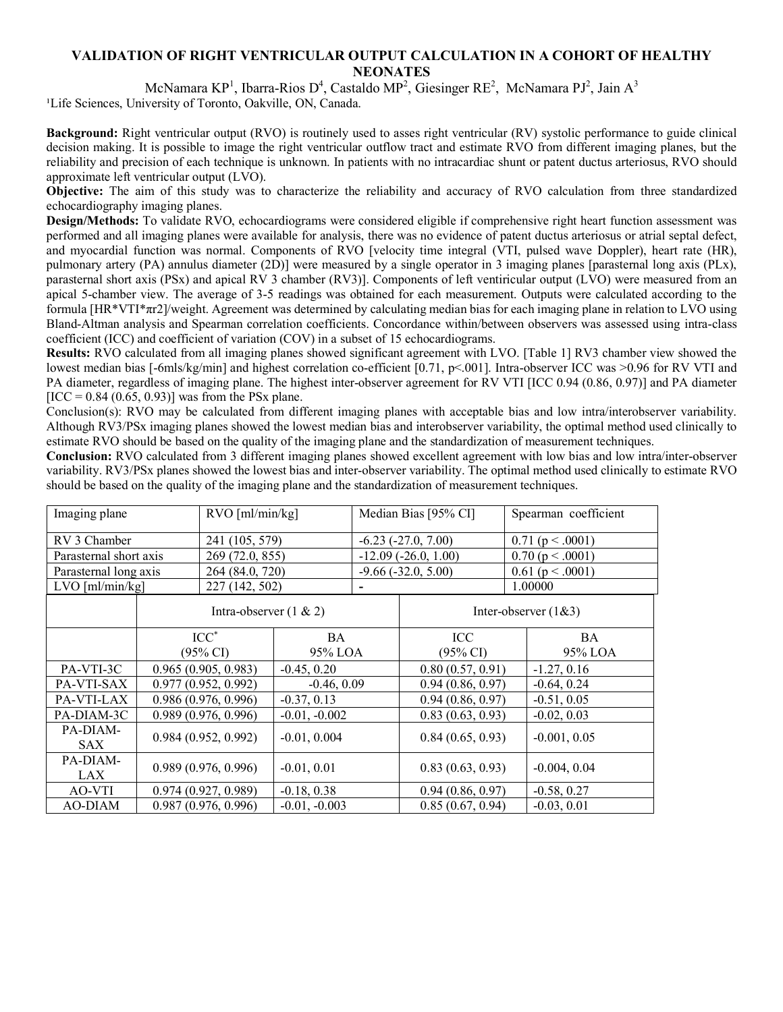## **VALIDATION OF RIGHT VENTRICULAR OUTPUT CALCULATION IN A COHORT OF HEALTHY NEONATES**

McNamara KP<sup>1</sup>, Ibarra-Rios D<sup>4</sup>, Castaldo MP<sup>2</sup>, Giesinger RE<sup>2</sup>, McNamara PJ<sup>2</sup>, Jain A<sup>3</sup> <sup>1</sup>Life Sciences, University of Toronto, Oakville, ON, Canada.

**Background:** Right ventricular output (RVO) is routinely used to asses right ventricular (RV) systolic performance to guide clinical decision making. It is possible to image the right ventricular outflow tract and estimate RVO from different imaging planes, but the reliability and precision of each technique is unknown. In patients with no intracardiac shunt or patent ductus arteriosus, RVO should approximate left ventricular output (LVO).

**Objective:** The aim of this study was to characterize the reliability and accuracy of RVO calculation from three standardized echocardiography imaging planes.

**Design/Methods:** To validate RVO, echocardiograms were considered eligible if comprehensive right heart function assessment was performed and all imaging planes were available for analysis, there was no evidence of patent ductus arteriosus or atrial septal defect, and myocardial function was normal. Components of RVO [velocity time integral (VTI, pulsed wave Doppler), heart rate (HR), pulmonary artery (PA) annulus diameter (2D)] were measured by a single operator in 3 imaging planes [parasternal long axis (PLx), parasternal short axis (PSx) and apical RV 3 chamber (RV3)]. Components of left ventiricular output (LVO) were measured from an apical 5-chamber view. The average of 3-5 readings was obtained for each measurement. Outputs were calculated according to the formula [HR\*VTI\*πr2]/weight. Agreement was determined by calculating median bias for each imaging plane in relation to LVO using Bland-Altman analysis and Spearman correlation coefficients. Concordance within/between observers was assessed using intra-class coefficient (ICC) and coefficient of variation (COV) in a subset of 15 echocardiograms.

**Results:** RVO calculated from all imaging planes showed significant agreement with LVO. [Table 1] RV3 chamber view showed the lowest median bias [-6mls/kg/min] and highest correlation co-efficient [0.71, p<.001]. Intra-observer ICC was >0.96 for RV VTI and PA diameter, regardless of imaging plane. The highest inter-observer agreement for RV VTI [ICC 0.94 (0.86, 0.97)] and PA diameter  $[ICC = 0.84 (0.65, 0.93)]$  was from the PSx plane.

Conclusion(s): RVO may be calculated from different imaging planes with acceptable bias and low intra/interobserver variability. Although RV3/PSx imaging planes showed the lowest median bias and interobserver variability, the optimal method used clinically to estimate RVO should be based on the quality of the imaging plane and the standardization of measurement techniques.

**Conclusion:** RVO calculated from 3 different imaging planes showed excellent agreement with low bias and low intra/inter-observer variability. RV3/PSx planes showed the lowest bias and inter-observer variability. The optimal method used clinically to estimate RVO should be based on the quality of the imaging plane and the standardization of measurement techniques.

| Imaging plane          | RVO [ml/min/kg]                        |                 | Median Bias [95% CI] |                            | Spearman coefficient    |  |
|------------------------|----------------------------------------|-----------------|----------------------|----------------------------|-------------------------|--|
| RV 3 Chamber           | 241 (105, 579)                         |                 |                      | $-6.23$ $(-27.0, 7.00)$    | $0.71$ (p < .0001)      |  |
| Parasternal short axis | 269 (72.0, 855)                        |                 |                      | $-12.09$ ( $-26.0$ , 1.00) | 0.70(p < .0001)         |  |
| Parasternal long axis  | 264 (84.0, 720)                        |                 |                      | $-9.66(-32.0, 5.00)$       | $0.61$ (p < .0001)      |  |
| $LVO$ [ml/min/kg]      | 227 (142, 502)                         |                 |                      |                            | 1.00000                 |  |
|                        | Intra-observer $(1 \& 2)$              |                 |                      |                            | Inter-observer $(1&&3)$ |  |
|                        | $ICC^*$                                | <b>BA</b>       |                      | ICC                        | <b>BA</b>               |  |
|                        | $(95\% \text{ CI})$                    | 95% LOA         | $(95\% \text{ CI})$  |                            | 95% LOA                 |  |
| PA-VTI-3C              | 0.965(0.905, 0.983)                    | $-0.45, 0.20$   |                      | 0.80(0.57, 0.91)           | $-1.27, 0.16$           |  |
| PA-VTI-SAX             | 0.977(0.952, 0.992)                    | $-0.46, 0.09$   |                      | 0.94(0.86, 0.97)           | $-0.64, 0.24$           |  |
| PA-VTI-LAX             | 0.986(0.976, 0.996)                    | $-0.37, 0.13$   |                      | 0.94(0.86, 0.97)           | $-0.51, 0.05$           |  |
| PA-DIAM-3C             | 0.989(0.976, 0.996)                    | $-0.01, -0.002$ |                      | 0.83(0.63, 0.93)           | $-0.02, 0.03$           |  |
| PA-DIAM-<br>SAX        | 0.984(0.952, 0.992)                    | $-0.01, 0.004$  |                      | 0.84(0.65, 0.93)           | $-0.001, 0.05$          |  |
| PA-DIAM-<br>LAX        | 0.989(0.976, 0.996)<br>$-0.01, 0.01$   |                 |                      | 0.83(0.63, 0.93)           | $-0.004, 0.04$          |  |
| AO-VTI                 | 0.974(0.927, 0.989)<br>$-0.18, 0.38$   |                 |                      | 0.94(0.86, 0.97)           | $-0.58, 0.27$           |  |
| AO-DIAM                | 0.987(0.976, 0.996)<br>$-0.01, -0.003$ |                 |                      | 0.85(0.67, 0.94)           | $-0.03, 0.01$           |  |